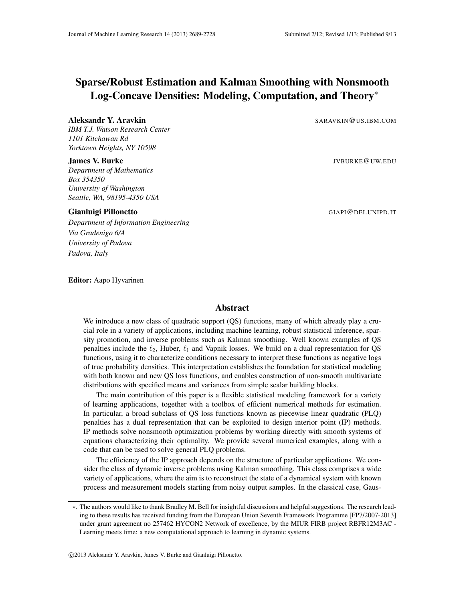# Sparse/Robust Estimation and Kalman Smoothing with Nonsmooth Log-Concave Densities: Modeling, Computation, and Theory∗

#### Aleksandr Y. Aravkin SARAVKIN@US.IBM.COM

*IBM T.J. Watson Research Center 1101 Kitchawan Rd Yorktown Heights, NY 10598*

*Department of Mathematics Box 354350 University of Washington Seattle, WA, 98195-4350 USA*

#### Gianluigi Pillonetto GIAPI@DEI.UNIPD.IT

*Department of Information Engineering Via Gradenigo 6/A University of Padova Padova, Italy*

Editor: Aapo Hyvarinen

**James V. Burke** Julie 1, 2008 and the UW. Equation of the UW. Equation of the UW. Equation of the UW. Equation of the UW. Equation of the UW. Equation of the UW. Equation of the UW. Equation of the UW. Equation of the UW.

#### Abstract

We introduce a new class of quadratic support (QS) functions, many of which already play a crucial role in a variety of applications, including machine learning, robust statistical inference, sparsity promotion, and inverse problems such as Kalman smoothing. Well known examples of QS penalties include the  $\ell_2$ , Huber,  $\ell_1$  and Vapnik losses. We build on a dual representation for QS functions, using it to characterize conditions necessary to interpret these functions as negative logs of true probability densities. This interpretation establishes the foundation for statistical modeling with both known and new QS loss functions, and enables construction of non-smooth multivariate distributions with specified means and variances from simple scalar building blocks.

The main contribution of this paper is a flexible statistical modeling framework for a variety of learning applications, together with a toolbox of efficient numerical methods for estimation. In particular, a broad subclass of QS loss functions known as piecewise linear quadratic (PLQ) penalties has a dual representation that can be exploited to design interior point (IP) methods. IP methods solve nonsmooth optimization problems by working directly with smooth systems of equations characterizing their optimality. We provide several numerical examples, along with a code that can be used to solve general PLQ problems.

The efficiency of the IP approach depends on the structure of particular applications. We consider the class of dynamic inverse problems using Kalman smoothing. This class comprises a wide variety of applications, where the aim is to reconstruct the state of a dynamical system with known process and measurement models starting from noisy output samples. In the classical case, Gaus-

<sup>∗</sup>. The authors would like to thank Bradley M. Bell for insightful discussions and helpful suggestions. The research leading to these results has received funding from the European Union Seventh Framework Programme [FP7/2007-2013] under grant agreement no 257462 HYCON2 Network of excellence, by the MIUR FIRB project RBFR12M3AC - Learning meets time: a new computational approach to learning in dynamic systems.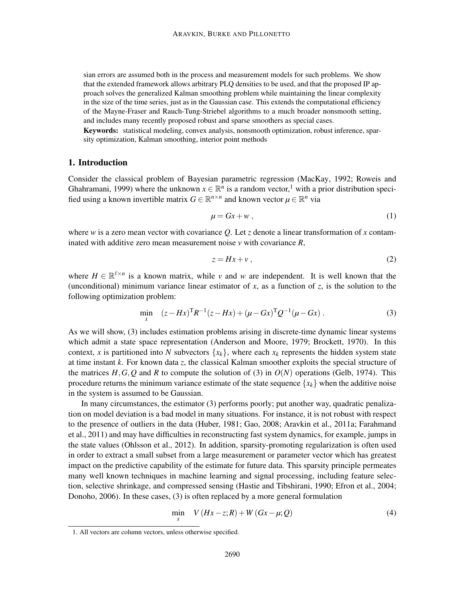sian errors are assumed both in the process and measurement models for such problems. We show that the extended framework allows arbitrary PLQ densities to be used, and that the proposed IP approach solves the generalized Kalman smoothing problem while maintaining the linear complexity in the size of the time series, just as in the Gaussian case. This extends the computational efficiency of the Mayne-Fraser and Rauch-Tung-Striebel algorithms to a much broader nonsmooth setting, and includes many recently proposed robust and sparse smoothers as special cases.

Keywords: statistical modeling, convex analysis, nonsmooth optimization, robust inference, sparsity optimization, Kalman smoothing, interior point methods

# 1. Introduction

Consider the classical problem of Bayesian parametric regression (MacKay, 1992; Roweis and Ghahramani, 1999) where the unknown  $x \in \mathbb{R}^n$  is a random vector,<sup>1</sup> with a prior distribution specified using a known invertible matrix  $G \in \mathbb{R}^{n \times n}$  and known vector  $\mu \in \mathbb{R}^n$  via

$$
\mu = Gx + w \,, \tag{1}
$$

where *w* is a zero mean vector with covariance *Q*. Let *z* denote a linear transformation of *x* contaminated with additive zero mean measurement noise *v* with covariance *R*,

$$
z = Hx + v \tag{2}
$$

where  $H \in \mathbb{R}^{\ell \times n}$  is a known matrix, while *v* and *w* are independent. It is well known that the (unconditional) minimum variance linear estimator of *x*, as a function of *z*, is the solution to the following optimization problem:

$$
\min_{x} \quad (z - Hx)^{\mathrm{T}} R^{-1} (z - Hx) + (\mu - Gx)^{\mathrm{T}} Q^{-1} (\mu - Gx) \,. \tag{3}
$$

As we will show, (3) includes estimation problems arising in discrete-time dynamic linear systems which admit a state space representation (Anderson and Moore, 1979; Brockett, 1970). In this context, *x* is partitioned into *N* subvectors  $\{x_k\}$ , where each  $x_k$  represents the hidden system state at time instant *k*. For known data *z*, the classical Kalman smoother exploits the special structure of the matrices  $H$ ,  $G$ ,  $Q$  and  $R$  to compute the solution of (3) in  $O(N)$  operations (Gelb, 1974). This procedure returns the minimum variance estimate of the state sequence  ${x_k}$  when the additive noise in the system is assumed to be Gaussian.

In many circumstances, the estimator (3) performs poorly; put another way, quadratic penalization on model deviation is a bad model in many situations. For instance, it is not robust with respect to the presence of outliers in the data (Huber, 1981; Gao, 2008; Aravkin et al., 2011a; Farahmand et al., 2011) and may have difficulties in reconstructing fast system dynamics, for example, jumps in the state values (Ohlsson et al., 2012). In addition, sparsity-promoting regularization is often used in order to extract a small subset from a large measurement or parameter vector which has greatest impact on the predictive capability of the estimate for future data. This sparsity principle permeates many well known techniques in machine learning and signal processing, including feature selection, selective shrinkage, and compressed sensing (Hastie and Tibshirani, 1990; Efron et al., 2004; Donoho, 2006). In these cases, (3) is often replaced by a more general formulation

$$
\min_{x} V\left(Hx-z;R\right) + W\left(Gx - \mu;Q\right) \tag{4}
$$

<sup>1.</sup> All vectors are column vectors, unless otherwise specified.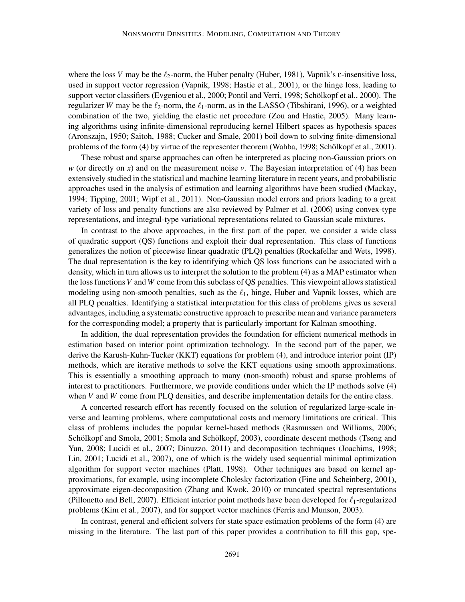where the loss *V* may be the  $\ell_2$ -norm, the Huber penalty (Huber, 1981), Vapnik's  $\varepsilon$ -insensitive loss, used in support vector regression (Vapnik, 1998; Hastie et al., 2001), or the hinge loss, leading to support vector classifiers (Evgeniou et al., 2000; Pontil and Verri, 1998; Schölkopf et al., 2000). The regularizer *W* may be the  $\ell_2$ -norm, the  $\ell_1$ -norm, as in the LASSO (Tibshirani, 1996), or a weighted combination of the two, yielding the elastic net procedure (Zou and Hastie, 2005). Many learning algorithms using infinite-dimensional reproducing kernel Hilbert spaces as hypothesis spaces (Aronszajn, 1950; Saitoh, 1988; Cucker and Smale, 2001) boil down to solving finite-dimensional problems of the form (4) by virtue of the representer theorem (Wahba, 1998; Schölkopf et al., 2001).

These robust and sparse approaches can often be interpreted as placing non-Gaussian priors on *w* (or directly on *x*) and on the measurement noise *v*. The Bayesian interpretation of (4) has been extensively studied in the statistical and machine learning literature in recent years, and probabilistic approaches used in the analysis of estimation and learning algorithms have been studied (Mackay, 1994; Tipping, 2001; Wipf et al., 2011). Non-Gaussian model errors and priors leading to a great variety of loss and penalty functions are also reviewed by Palmer et al. (2006) using convex-type representations, and integral-type variational representations related to Gaussian scale mixtures.

In contrast to the above approaches, in the first part of the paper, we consider a wide class of quadratic support (QS) functions and exploit their dual representation. This class of functions generalizes the notion of piecewise linear quadratic (PLQ) penalties (Rockafellar and Wets, 1998). The dual representation is the key to identifying which QS loss functions can be associated with a density, which in turn allows us to interpret the solution to the problem (4) as a MAP estimator when the loss functions*V* and *W* come from this subclass of QS penalties. This viewpoint allows statistical modeling using non-smooth penalties, such as the  $\ell_1$ , hinge, Huber and Vapnik losses, which are all PLQ penalties. Identifying a statistical interpretation for this class of problems gives us several advantages, including a systematic constructive approach to prescribe mean and variance parameters for the corresponding model; a property that is particularly important for Kalman smoothing.

In addition, the dual representation provides the foundation for efficient numerical methods in estimation based on interior point optimization technology. In the second part of the paper, we derive the Karush-Kuhn-Tucker (KKT) equations for problem (4), and introduce interior point (IP) methods, which are iterative methods to solve the KKT equations using smooth approximations. This is essentially a smoothing approach to many (non-smooth) robust and sparse problems of interest to practitioners. Furthermore, we provide conditions under which the IP methods solve (4) when *V* and *W* come from PLQ densities, and describe implementation details for the entire class.

A concerted research effort has recently focused on the solution of regularized large-scale inverse and learning problems, where computational costs and memory limitations are critical. This class of problems includes the popular kernel-based methods (Rasmussen and Williams, 2006; Schölkopf and Smola, 2001; Smola and Schölkopf, 2003), coordinate descent methods (Tseng and Yun, 2008; Lucidi et al., 2007; Dinuzzo, 2011) and decomposition techniques (Joachims, 1998; Lin, 2001; Lucidi et al., 2007), one of which is the widely used sequential minimal optimization algorithm for support vector machines (Platt, 1998). Other techniques are based on kernel approximations, for example, using incomplete Cholesky factorization (Fine and Scheinberg, 2001), approximate eigen-decomposition (Zhang and Kwok, 2010) or truncated spectral representations (Pillonetto and Bell, 2007). Efficient interior point methods have been developed for  $\ell_1$ -regularized problems (Kim et al., 2007), and for support vector machines (Ferris and Munson, 2003).

In contrast, general and efficient solvers for state space estimation problems of the form (4) are missing in the literature. The last part of this paper provides a contribution to fill this gap, spe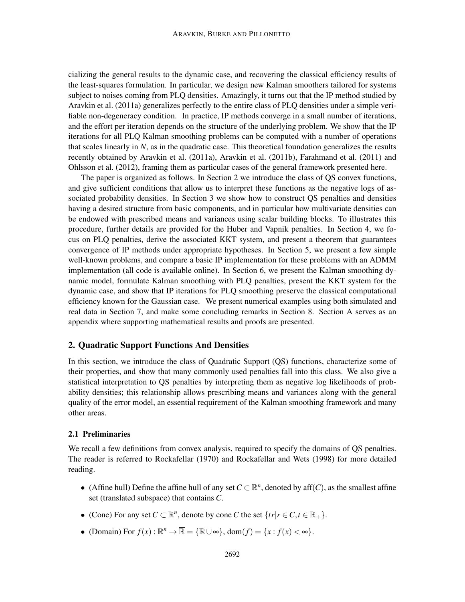cializing the general results to the dynamic case, and recovering the classical efficiency results of the least-squares formulation. In particular, we design new Kalman smoothers tailored for systems subject to noises coming from PLQ densities. Amazingly, it turns out that the IP method studied by Aravkin et al. (2011a) generalizes perfectly to the entire class of PLQ densities under a simple verifiable non-degeneracy condition. In practice, IP methods converge in a small number of iterations, and the effort per iteration depends on the structure of the underlying problem. We show that the IP iterations for all PLQ Kalman smoothing problems can be computed with a number of operations that scales linearly in *N*, as in the quadratic case. This theoretical foundation generalizes the results recently obtained by Aravkin et al. (2011a), Aravkin et al. (2011b), Farahmand et al. (2011) and Ohlsson et al. (2012), framing them as particular cases of the general framework presented here.

The paper is organized as follows. In Section 2 we introduce the class of QS convex functions, and give sufficient conditions that allow us to interpret these functions as the negative logs of associated probability densities. In Section 3 we show how to construct QS penalties and densities having a desired structure from basic components, and in particular how multivariate densities can be endowed with prescribed means and variances using scalar building blocks. To illustrates this procedure, further details are provided for the Huber and Vapnik penalties. In Section 4, we focus on PLQ penalties, derive the associated KKT system, and present a theorem that guarantees convergence of IP methods under appropriate hypotheses. In Section 5, we present a few simple well-known problems, and compare a basic IP implementation for these problems with an ADMM implementation (all code is available online). In Section 6, we present the Kalman smoothing dynamic model, formulate Kalman smoothing with PLQ penalties, present the KKT system for the dynamic case, and show that IP iterations for PLQ smoothing preserve the classical computational efficiency known for the Gaussian case. We present numerical examples using both simulated and real data in Section 7, and make some concluding remarks in Section 8. Section A serves as an appendix where supporting mathematical results and proofs are presented.

# 2. Quadratic Support Functions And Densities

In this section, we introduce the class of Quadratic Support (QS) functions, characterize some of their properties, and show that many commonly used penalties fall into this class. We also give a statistical interpretation to QS penalties by interpreting them as negative log likelihoods of probability densities; this relationship allows prescribing means and variances along with the general quality of the error model, an essential requirement of the Kalman smoothing framework and many other areas.

### 2.1 Preliminaries

We recall a few definitions from convex analysis, required to specify the domains of QS penalties. The reader is referred to Rockafellar (1970) and Rockafellar and Wets (1998) for more detailed reading.

- (Affine hull) Define the affine hull of any set  $C \subset \mathbb{R}^n$ , denoted by aff $(C)$ , as the smallest affine set (translated subspace) that contains *C*.
- (Cone) For any set  $C \subset \mathbb{R}^n$ , denote by cone  $C$  the set  $\{tr | r \in C, t \in \mathbb{R}_+ \}$ .
- (Domain) For  $f(x): \mathbb{R}^n \to \overline{\mathbb{R}} = {\mathbb{R} \cup \infty}$ , dom $(f) = {x : f(x) < \infty}$ .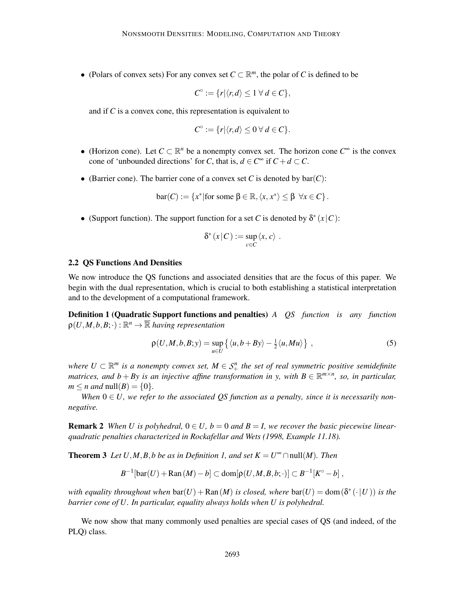• (Polars of convex sets) For any convex set  $C \subset \mathbb{R}^m$ , the polar of *C* is defined to be

$$
C^{\circ} := \{r | \langle r, d \rangle \leq 1 \ \forall \ d \in C\},\
$$

and if *C* is a convex cone, this representation is equivalent to

$$
C^{\circ} := \{r | \langle r, d \rangle \leq 0 \ \forall \ d \in C\}
$$

- (Horizon cone). Let  $C \subset \mathbb{R}^n$  be a nonempty convex set. The horizon cone  $C^{\infty}$  is the convex cone of 'unbounded directions' for *C*, that is,  $d \in C^{\infty}$  if  $C + d \subset C$ .
- (Barrier cone). The barrier cone of a convex set *C* is denoted by  $bar(C)$ :

$$
bar(C) := \{x^* | \text{for some } \beta \in \mathbb{R}, \langle x, x^* \rangle \leq \beta \ \forall x \in C\}.
$$

• (Support function). The support function for a set *C* is denoted by  $\delta^*(x|C)$ :

$$
\delta^*(x|C) := \sup_{c \in C} \langle x, c \rangle.
$$

#### 2.2 QS Functions And Densities

We now introduce the QS functions and associated densities that are the focus of this paper. We begin with the dual representation, which is crucial to both establishing a statistical interpretation and to the development of a computational framework.

Definition 1 (Quadratic Support functions and penalties) *A QS function is any function*  $\rho(U,M,b,B;\cdot):\mathbb{R}^n\rightarrow\overline{\mathbb{R}}$  *having representation* 

$$
\rho(U,M,b,B;y) = \sup_{u \in U} \left\{ \langle u, b + By \rangle - \frac{1}{2} \langle u, Mu \rangle \right\},\tag{5}
$$

where  $U \subset \mathbb{R}^m$  is a nonempty convex set,  $M \in \mathcal{S}^n_+$  the set of real symmetric positive semidefinite *matrices, and b* + *By is an injective affine transformation in y, with*  $B \in \mathbb{R}^{m \times n}$ *, so, in particular,*  $m \leq n$  *and* **null** $(B) = \{0\}$ .

*When*  $0 \in U$ , we refer to the associated QS function as a penalty, since it is necessarily non*negative.*

**Remark 2** When U is polyhedral,  $0 \in U$ ,  $b = 0$  and  $B = I$ , we recover the basic piecewise linear*quadratic penalties characterized in Rockafellar and Wets (1998, Example 11.18).*

**Theorem 3** *Let*  $U, M, B, b$  *be as in Definition 1, and set*  $K = U^{\infty} \cap \text{null}(M)$ *. Then* 

$$
B^{-1}[\text{bar}(U)+\text{Ran}(M)-b]\subset \text{dom}[\rho(U,M,B,b;\cdot)]\subset B^{-1}[K^{\circ}-b],
$$

*with equality throughout when*  $bar(U) + Ran(M)$  *is closed, where*  $bar(U) = dom(\delta^*(\cdot | U))$  *is the barrier cone of U. In particular, equality always holds when U is polyhedral.*

We now show that many commonly used penalties are special cases of QS (and indeed, of the PLQ) class.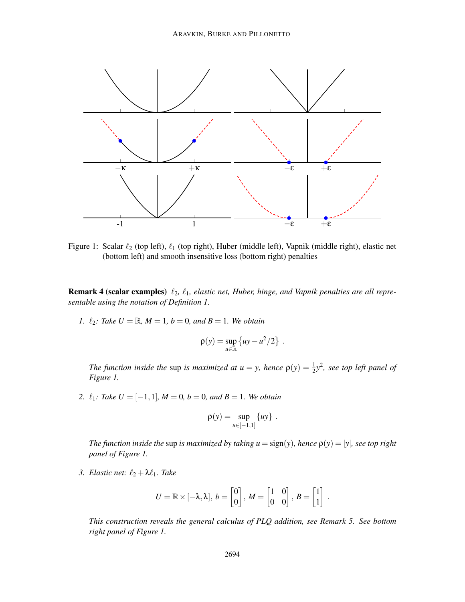

Figure 1: Scalar  $\ell_2$  (top left),  $\ell_1$  (top right), Huber (middle left), Vapnik (middle right), elastic net (bottom left) and smooth insensitive loss (bottom right) penalties

**Remark 4 (scalar examples)**  $\ell_2$ ,  $\ell_1$ , elastic net, Huber, hinge, and Vapnik penalties are all repre*sentable using the notation of Definition 1.*

*1.*  $\ell_2$ *: Take U* =  $\mathbb{R}$ *, M* = 1*, b* = 0*, and B* = 1*. We obtain* 

$$
\rho(y) = \sup_{u \in \mathbb{R}} \left\{ uy - u^2/2 \right\} .
$$

*The function inside the sup is maximized at*  $u = y$ *, hence*  $\rho(y) = \frac{1}{2}y^2$ , see top left panel of *Figure 1.*

2.  $\ell_1$ *: Take U* = [-1,1]*, M* = 0*, b* = 0*, and B* = 1*. We obtain* 

$$
\rho(y) = \sup_{u \in [-1,1]} \{uy\} .
$$

*The function inside the* sup *is maximized by taking*  $u = sign(y)$ *, hence*  $p(y) = |y|$ *, see top right panel of Figure 1.*

*3. Elastic net:* ℓ<sup>2</sup> +λℓ1*. Take*

$$
U = \mathbb{R} \times [-\lambda, \lambda], b = \begin{bmatrix} 0 \\ 0 \end{bmatrix}, M = \begin{bmatrix} 1 & 0 \\ 0 & 0 \end{bmatrix}, B = \begin{bmatrix} 1 \\ 1 \end{bmatrix}
$$

.

*This construction reveals the general calculus of PLQ addition, see Remark 5. See bottom right panel of Figure 1.*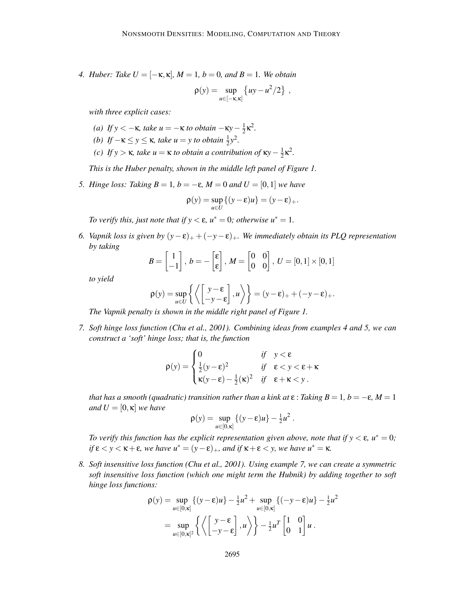*4. Huber: Take*  $U = [-\kappa, \kappa]$ *,*  $M = 1$ *,*  $b = 0$ *, and*  $B = 1$ *. We obtain* 

$$
\rho(y) = \sup_{u \in [-\kappa, \kappa]} \left\{ uy - u^2/2 \right\} ,
$$

*with three explicit cases:*

- *(a) If y* < −**κ***, take u* = −**κ** *to obtain* −**κ***y* −  $\frac{1}{2}$  $\frac{1}{2} \kappa^2$ .
- *(b) If*  $-\kappa \leq y \leq \kappa$ , *take*  $u = y$  *to obtain*  $\frac{1}{2}y^2$ .
- *(c) If y* > **κ***, take u* = **κ** *to obtain a contribution of* **κ***y* −  $\frac{1}{2}$  $\frac{1}{2} \kappa^2$ .

*This is the Huber penalty, shown in the middle left panel of Figure 1.*

*5. Hinge loss: Taking B* = 1*, b* = −ε*, M* = 0 *and U* = [0, 1] *we have* 

$$
\rho(y) = \sup_{u \in U} \{ (y - \varepsilon)u \} = (y - \varepsilon)_+.
$$

*To verify this, just note that if y*  $\lt \epsilon$ ,  $u^* = 0$ *; otherwise*  $u^* = 1$ *.* 

*6. Vapnik loss is given by*  $(y-\varepsilon)_+$  +  $(-y-\varepsilon)_+$ *. We immediately obtain its PLQ representation by taking*

$$
B = \begin{bmatrix} 1 \\ -1 \end{bmatrix}, b = -\begin{bmatrix} \varepsilon \\ \varepsilon \end{bmatrix}, M = \begin{bmatrix} 0 & 0 \\ 0 & 0 \end{bmatrix}, U = [0,1] \times [0,1]
$$

*to yield*

$$
\rho(y) = \sup_{u \in U} \left\{ \left\langle \begin{bmatrix} y - \varepsilon \\ -y - \varepsilon \end{bmatrix}, u \right\rangle \right\} = (y - \varepsilon)_+ + (-y - \varepsilon)_+.
$$

*The Vapnik penalty is shown in the middle right panel of Figure 1.*

*7. Soft hinge loss function (Chu et al., 2001). Combining ideas from examples 4 and 5, we can construct a 'soft' hinge loss; that is, the function*

$$
\rho(y) = \begin{cases} 0 & \text{if} \quad y < \varepsilon \\ \frac{1}{2}(y-\varepsilon)^2 & \text{if} \quad \varepsilon < y < \varepsilon + \kappa \\ \kappa(y-\varepsilon) - \frac{1}{2}(\kappa)^2 & \text{if} \quad \varepsilon + \kappa < y \end{cases}.
$$

*that has a smooth (quadratic) transition rather than a kink at*  $\varepsilon$  : *Taking B* = 1*, b* =  $-\varepsilon$ *, M* = 1 *and*  $U = [0, \kappa]$  *we have* 

$$
\rho(y) = \sup_{u \in [0,\kappa]} \left\{ (y - \varepsilon)u \right\} - \frac{1}{2}u^2.
$$

*To verify this function has the explicit representation given above, note that if*  $y < \varepsilon$ ,  $u^* = 0$ ;  $if \epsilon < y < \kappa + \epsilon$ *, we have*  $u^* = (y - \epsilon)_+$ *, and if*  $\kappa + \epsilon < y$ *, we have*  $u^* = \kappa$ *.* 

*8. Soft insensitive loss function (Chu et al., 2001). Using example 7, we can create a symmetric soft insensitive loss function (which one might term the Hubnik) by adding together to soft hinge loss functions:*

$$
\rho(y) = \sup_{u \in [0,\kappa]} \left\{ (y - \varepsilon)u \right\} - \frac{1}{2}u^2 + \sup_{u \in [0,\kappa]} \left\{ (-y - \varepsilon)u \right\} - \frac{1}{2}u^2
$$

$$
= \sup_{u \in [0,\kappa]^2} \left\{ \left\langle \begin{bmatrix} y - \varepsilon \\ -y - \varepsilon \end{bmatrix}, u \right\rangle \right\} - \frac{1}{2}u^T \begin{bmatrix} 1 & 0 \\ 0 & 1 \end{bmatrix} u.
$$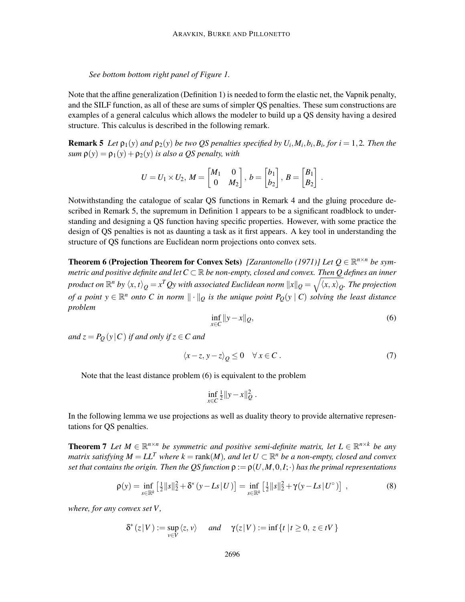*See bottom bottom right panel of Figure 1.*

Note that the affine generalization (Definition 1) is needed to form the elastic net, the Vapnik penalty, and the SILF function, as all of these are sums of simpler QS penalties. These sum constructions are examples of a general calculus which allows the modeler to build up a QS density having a desired structure. This calculus is described in the following remark.

**Remark 5** Let  $\rho_1(y)$  and  $\rho_2(y)$  be two QS penalties specified by  $U_i$ ,  $M_i$ ,  $b_i$ ,  $B_i$ , for  $i = 1, 2$ . Then the *sum*  $\rho(y) = \rho_1(y) + \rho_2(y)$  *is also a QS penalty, with* 

$$
U = U_1 \times U_2, M = \begin{bmatrix} M_1 & 0 \\ 0 & M_2 \end{bmatrix}, b = \begin{bmatrix} b_1 \\ b_2 \end{bmatrix}, B = \begin{bmatrix} B_1 \\ B_2 \end{bmatrix}.
$$

Notwithstanding the catalogue of scalar QS functions in Remark 4 and the gluing procedure described in Remark 5, the supremum in Definition 1 appears to be a significant roadblock to understanding and designing a QS function having specific properties. However, with some practice the design of QS penalties is not as daunting a task as it first appears. A key tool in understanding the structure of QS functions are Euclidean norm projections onto convex sets.

**Theorem 6 (Projection Theorem for Convex Sets)** [Zarantonello (1971)] Let  $Q \in \mathbb{R}^{n \times n}$  be sym*metric and positive definite and let C* <sup>⊂</sup> <sup>R</sup> *be non-empty, closed and convex. Then Q defines an inner* product on  $\mathbb{R}^n$  by  $\langle x, t\rangle_Q = x^TQ$ y with associated Euclidean norm  $\|x\|_Q = \sqrt{\langle x, x\rangle_Q}.$  The projection *of a point*  $y \in \mathbb{R}^n$  *onto* C in norm  $\|\cdot\|_Q$  is the unique point  $P_Q(y \mid C)$  solving the least distance *problem*

$$
\inf_{x \in C} \|y - x\|_{Q},\tag{6}
$$

*and*  $z = P_Q(y|C)$  *if and only if*  $z \in C$  *and* 

$$
\langle x-z, y-z \rangle_{Q} \leq 0 \quad \forall x \in C. \tag{7}
$$

Note that the least distance problem (6) is equivalent to the problem

$$
\inf_{x \in C} \frac{1}{2} ||y - x||_Q^2.
$$

In the following lemma we use projections as well as duality theory to provide alternative representations for QS penalties.

**Theorem 7** Let  $M \in \mathbb{R}^{n \times n}$  be symmetric and positive semi-definite matrix, let  $L \in \mathbb{R}^{n \times k}$  be any *matrix satisfying*  $M = LL^T$  *where*  $k = \text{rank}(M)$ *, and let*  $U \subset \mathbb{R}^n$  *be a non-empty, closed and convex set that contains the origin. Then the QS function*  $\rho := \rho(U, M, 0, I; \cdot)$  *has the primal representations* 

$$
\rho(y) = \inf_{s \in \mathbb{R}^k} \left[ \frac{1}{2} \|s\|_2^2 + \delta^*(y - Ls | U) \right] = \inf_{s \in \mathbb{R}^k} \left[ \frac{1}{2} \|s\|_2^2 + \gamma(y - Ls | U^{\circ}) \right],
$$
 (8)

*where, for any convex set V ,*

$$
\delta^*(z|V) := \sup_{v \in V} \langle z, v \rangle \quad \text{and} \quad \gamma(z|V) := \inf \{ t \mid t \ge 0, \ z \in tV \}
$$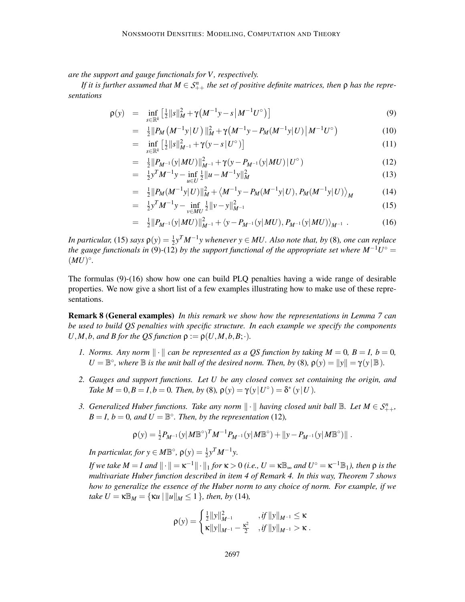*are the support and gauge functionals for V , respectively.*

*If it is further assumed that*  $M \in S^n_{++}$  *the set of positive definite matrices, then*  $\rho$  *has the representations*

$$
\rho(y) = \inf_{s \in \mathbb{R}^k} \left[ \frac{1}{2} ||s||_M^2 + \gamma \left( M^{-1} y - s \left| M^{-1} U^{\circ} \right. \right) \right] \tag{9}
$$

$$
= \frac{1}{2} \| P_M \left( M^{-1} y | U \right) \|_M^2 + \gamma \left( M^{-1} y - P_M (M^{-1} y | U) | M^{-1} U^{\circ} \right) \tag{10}
$$

 $=$  inf *<sup>s</sup>*∈R*<sup>k</sup>*  $\left[\frac{1}{2}||s||_{M^{-1}}^2 + \gamma(y-s|U^{\circ})\right]$ (11)

$$
= \frac{1}{2} \left\| P_{M^{-1}}(y|MU) \right\|_{M^{-1}}^2 + \gamma (y - P_{M^{-1}}(y|MU) | U^{\circ}) \tag{12}
$$

$$
= \frac{1}{2}y^T M^{-1} y - \inf_{u \in U} \frac{1}{2} ||u - M^{-1}y||_M^2
$$
 (13)

$$
= \frac{1}{2} \|P_M(M^{-1}y|U)\|_M^2 + \langle M^{-1}y - P_M(M^{-1}y|U), P_M(M^{-1}y|U) \rangle_M \tag{14}
$$

$$
= \frac{1}{2} y^T M^{-1} y - \inf_{v \in MU} \frac{1}{2} ||v - y||_{M^{-1}}^2
$$
\n(15)

$$
= \frac{1}{2} \|P_{M^{-1}}(y|MU)\|_{M^{-1}}^2 + \langle y - P_{M^{-1}}(y|MU), P_{M^{-1}}(y|MU) \rangle_{M^{-1}} . \tag{16}
$$

*In particular,* (15) *says*  $\rho(y) = \frac{1}{2}y^T M^{-1}y$  *whenever*  $y \in MU$ *. Also note that, by* (8)*, one can replace the gauge functionals in* (9)-(12) *by the support functional of the appropriate set where*  $M^{-1}U^{\circ} =$  $(MU)^{\circ}$ .

The formulas (9)-(16) show how one can build PLQ penalties having a wide range of desirable properties. We now give a short list of a few examples illustrating how to make use of these representations.

Remark 8 (General examples) *In this remark we show how the representations in Lemma 7 can be used to build QS penalties with specific structure. In each example we specify the components*  $U, M, b$ , *and B for the QS function*  $\rho := \rho(U, M, b, B; \cdot)$ .

- *1. Norms. Any norm*  $\|\cdot\|$  *can be represented as a OS function by taking*  $M = 0$ ,  $B = I$ ,  $b = 0$ ,  $U = \mathbb{B}^{\circ}$ , where  $\mathbb{B}$  *is the unit ball of the desired norm. Then, by* (8),  $\rho(y) = ||y|| = \gamma(y | \mathbb{B})$ *.*
- *2. Gauges and support functions. Let U be any closed convex set containing the origin, and Take*  $M = 0, B = I, b = 0$ *. Then, by* (8),  $\rho(y) = \gamma(y | U^{\circ}) = \delta^*(y | U)$ *.*
- *3.* Generalized Huber functions. Take any norm  $\|\cdot\|$  having closed unit ball  $\mathbb{B}$ *. Let*  $M \in S_{++}^n$ *,*  $B = I$ ,  $b = 0$ , and  $U = \mathbb{B}^{\circ}$ . Then, by the representation (12),

$$
\rho(y) = \frac{1}{2} P_{M^{-1}}(y|M\mathbb{B}^{\circ})^T M^{-1} P_{M^{-1}}(y|M\mathbb{B}^{\circ}) + ||y - P_{M^{-1}}(y|M\mathbb{B}^{\circ})||.
$$

*In particular, for*  $y \in M\mathbb{B}^{\circ}$ ,  $\rho(y) = \frac{1}{2}y^{T}M^{-1}y$ .

*If we take*  $M = I$  *and*  $\|\cdot\| = \kappa^{-1}\|\cdot\|_1$  *for*  $\kappa > 0$  (*i.e.,*  $U = \kappa \mathbb{B}_{\infty}$  *and*  $U^{\circ} = \kappa^{-1} \mathbb{B}_1$ *), then*  $\rho$  *is the multivariate Huber function described in item 4 of Remark 4. In this way, Theorem 7 shows how to generalize the essence of the Huber norm to any choice of norm. For example, if we take U* =  $\kappa \mathbb{B}_M = {\kappa u \, ||u||_M \leq 1}$ *, then, by* (14)*,* 

$$
\rho(y) = \begin{cases} \frac{1}{2} ||y||_{M^{-1}}^2 & , if ||y||_{M^{-1}} \leq \kappa \\ \kappa ||y||_{M^{-1}} - \frac{\kappa^2}{2} & , if ||y||_{M^{-1}} > \kappa \end{cases}.
$$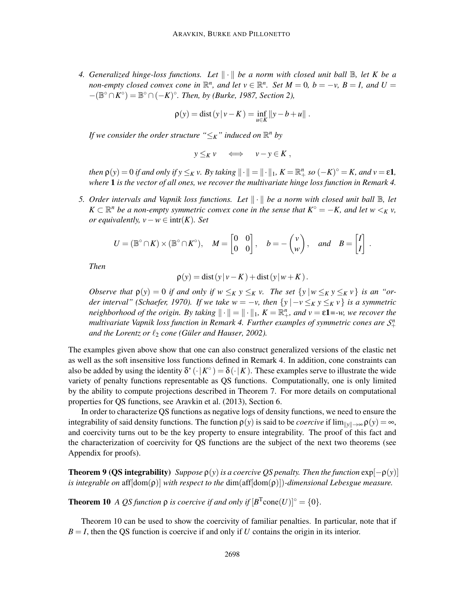*4. Generalized hinge-loss functions. Let*  $\|\cdot\|$  *be a norm with closed unit ball*  $\mathbb{B}$ *, let K be a non-empty closed convex cone in*  $\mathbb{R}^n$ *, and let*  $v \in \mathbb{R}^n$ *. Set*  $M = 0$ *,*  $b = -v$ *,*  $B = I$ *, and*  $U =$  $-(\mathbb{B}^{\circ} \cap K^{\circ}) = \mathbb{B}^{\circ} \cap (-K)^{\circ}$ *. Then, by (Burke, 1987, Section 2),* 

$$
\rho(y) = \text{dist}(y | v - K) = \inf_{u \in K} ||y - b + u||.
$$

*If we consider the order structure*  $\lq \leq_K$ " *induced on*  $\mathbb{R}^n$  *by* 

$$
y \leq_K v \iff v - y \in K ,
$$

*then*  $\rho(y) = 0$  *if and only if*  $y \leq_K v$ . By taking  $\|\cdot\| = \|\cdot\|_1$ ,  $K = \mathbb{R}^n_+$  so  $(-K)^{\circ} = K$ , and  $v = \varepsilon \mathbf{1}$ , *where* 1 *is the vector of all ones, we recover the multivariate hinge loss function in Remark 4.*

*5. Order intervals and Vapnik loss functions. Let*  $\|\cdot\|$  *be a norm with closed unit ball*  $\mathbb{B}$ *, let*  $K \subset \mathbb{R}^n$  *be a non-empty symmetric convex cone in the sense that*  $K^\circ = -K$ *, and let*  $w \lt_K v$ *, or equivalently, v* −  $w$  ∈ intr(*K*)*. Set* 

$$
U = (\mathbb{B}^{\circ} \cap K) \times (\mathbb{B}^{\circ} \cap K^{\circ}), \quad M = \begin{bmatrix} 0 & 0 \\ 0 & 0 \end{bmatrix}, \quad b = -\begin{pmatrix} v \\ w \end{pmatrix}, \quad and \quad B = \begin{bmatrix} I \\ I \end{bmatrix}.
$$

*Then*

$$
\rho(y) = \text{dist}(y|v-K) + \text{dist}(y|w+K).
$$

*Observe that*  $\rho(y) = 0$  *if and only if*  $w \leq_K y \leq_K v$ . The set  $\{y \mid w \leq_K y \leq_K v\}$  is an "or*der interval" (Schaefer, 1970). If we take*  $w = -v$ *, then*  $\{y \mid -v \leq_K y \leq_K v\}$  *is a symmetric neighborhood of the origin.* By taking  $\|\cdot\| = \|\cdot\|_1$ ,  $K = \mathbb{R}^n_+$ , and  $\nu = \varepsilon \mathbf{1} = -\nu$ , we recover the *multivariate Vapnik loss function in Remark 4. Further examples of symmetric cones are*  $\mathcal{S}^n_+$ *and the Lorentz or*  $\ell_2$  *cone* (Güler and Hauser, 2002).

The examples given above show that one can also construct generalized versions of the elastic net as well as the soft insensitive loss functions defined in Remark 4. In addition, cone constraints can also be added by using the identity  $\delta^* (\cdot | K^{\circ}) = \delta (\cdot | K)$ . These examples serve to illustrate the wide variety of penalty functions representable as QS functions. Computationally, one is only limited by the ability to compute projections described in Theorem 7. For more details on computational properties for QS functions, see Aravkin et al. (2013), Section 6.

In order to characterize QS functions as negative logs of density functions, we need to ensure the integrability of said density functions. The function  $\rho(y)$  is said to be *coercive* if  $\lim_{\|y\| \to \infty} \rho(y) = \infty$ , and coercivity turns out to be the key property to ensure integrability. The proof of this fact and the characterization of coercivity for QS functions are the subject of the next two theorems (see Appendix for proofs).

**Theorem 9 (QS integrability)** *Suppose*  $\rho(y)$  *is a coercive QS penalty. Then the function*  $\exp[-\rho(y)]$ *is integrable on* aff[dom(ρ)] *with respect to the* dim(aff[dom(ρ)])*-dimensional Lebesgue measure.*

**Theorem 10** *A QS function*  $\rho$  *is coercive if and only if*  $[B^T \text{cone}(U)]^\circ = \{0\}.$ 

Theorem 10 can be used to show the coercivity of familiar penalties. In particular, note that if  $B = I$ , then the QS function is coercive if and only if *U* contains the origin in its interior.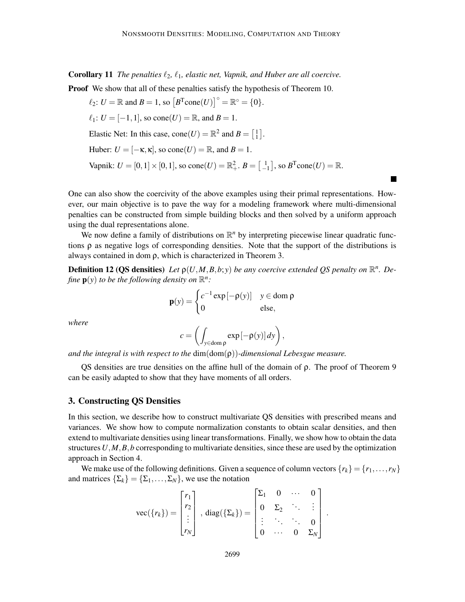Corollary 11 *The penalties* ℓ2*,* ℓ1*, elastic net, Vapnik, and Huber are all coercive.* **Proof** We show that all of these penalties satisfy the hypothesis of Theorem 10.

$$
\ell_2: U = \mathbb{R} \text{ and } B = 1, \text{ so } [B^T \text{cone}(U)]^\circ = \mathbb{R}^\circ = \{0\}.
$$
  

$$
\ell_1: U = [-1, 1], \text{ so } \text{cone}(U) = \mathbb{R}, \text{ and } B = 1.
$$
  
Elastic Net: In this case,  $\text{cone}(U) = \mathbb{R}^2$  and  $B = \begin{bmatrix} 1 \\ 1 \end{bmatrix}.$   
Huber:  $U = [-\kappa, \kappa], \text{ so } \text{cone}(U) = \mathbb{R}, \text{ and } B = 1.$   
Vapnik:  $U = [0, 1] \times [0, 1], \text{ so } \text{cone}(U) = \mathbb{R}^2_+, B = \begin{bmatrix} 1 \\ -1 \end{bmatrix}, \text{ so } B^T \text{cone}(U) = \mathbb{R}.$ 

One can also show the coercivity of the above examples using their primal representations. However, our main objective is to pave the way for a modeling framework where multi-dimensional penalties can be constructed from simple building blocks and then solved by a uniform approach using the dual representations alone.

We now define a family of distributions on  $\mathbb{R}^n$  by interpreting piecewise linear quadratic functions  $\rho$  as negative logs of corresponding densities. Note that the support of the distributions is always contained in dom ρ, which is characterized in Theorem 3.

**Definition 12 (QS densities)** Let  $p(U, M, B, b; y)$  be any coercive extended QS penalty on  $\mathbb{R}^n$ . Define  $\mathbf{p}(y)$  to be the following density on  $\mathbb{R}^n$ :

$$
\mathbf{p}(y) = \begin{cases} c^{-1} \exp\left[-\rho(y)\right] & y \in \text{dom } \rho \\ 0 & \text{else,} \end{cases}
$$

*where*

$$
c = \left( \int_{y \in \text{dom } \rho} \exp \left[ -\rho(y) \right] dy \right),
$$

*and the integral is with respect to the* dim(dom(ρ))*-dimensional Lebesgue measure.*

QS densities are true densities on the affine hull of the domain of ρ. The proof of Theorem 9 can be easily adapted to show that they have moments of all orders.

# 3. Constructing QS Densities

In this section, we describe how to construct multivariate QS densities with prescribed means and variances. We show how to compute normalization constants to obtain scalar densities, and then extend to multivariate densities using linear transformations. Finally, we show how to obtain the data structures*U*,*M*,*B*,*b* corresponding to multivariate densities, since these are used by the optimization approach in Section 4.

We make use of the following definitions. Given a sequence of column vectors  $\{r_k\} = \{r_1, \ldots, r_N\}$ and matrices  $\{\Sigma_k\} = \{\Sigma_1, \dots, \Sigma_N\}$ , we use the notation

$$
\text{vec}(\{r_k\}) = \begin{bmatrix} r_1 \\ r_2 \\ \vdots \\ r_N \end{bmatrix}, \text{diag}(\{\Sigma_k\}) = \begin{bmatrix} \Sigma_1 & 0 & \cdots & 0 \\ 0 & \Sigma_2 & \ddots & \vdots \\ \vdots & \ddots & \ddots & 0 \\ 0 & \cdots & 0 & \Sigma_N \end{bmatrix}.
$$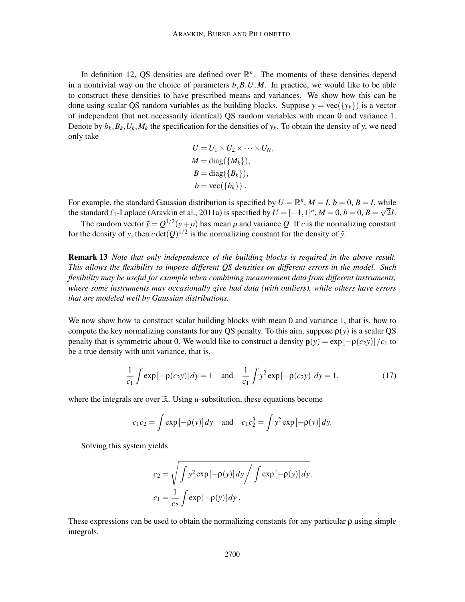In definition 12, QS densities are defined over  $\mathbb{R}^n$ . The moments of these densities depend in a nontrivial way on the choice of parameters  $b, B, U, M$ . In practice, we would like to be able to construct these densities to have prescribed means and variances. We show how this can be done using scalar QS random variables as the building blocks. Suppose  $y = \text{vec}(\{y_k\})$  is a vector of independent (but not necessarily identical) QS random variables with mean 0 and variance 1. Denote by  $b_k$ ,  $B_k$ ,  $U_k$ ,  $M_k$  the specification for the densities of  $y_k$ . To obtain the density of y, we need only take

$$
U = U_1 \times U_2 \times \cdots \times U_N,
$$
  
\n
$$
M = diag({M_k}),
$$
  
\n
$$
B = diag({B_k}),
$$
  
\n
$$
b = vec({b_k}).
$$

For example, the standard Gaussian distribution is specified by  $U = \mathbb{R}^n$ ,  $M = I$ ,  $b = 0$ ,  $B = I$ , while the standard  $\ell_1$ -Laplace (Aravkin et al., 2011a) is specified by  $U = [-1,1]^n$ ,  $M = 0$ ,  $b = 0$ ,  $B = \sqrt{2}I$ .

The random vector  $\tilde{y} = Q^{1/2}(y + \mu)$  has mean  $\mu$  and variance Q. If c is the normalizing constant for the density of *y*, then  $c \det(Q)^{1/2}$  is the normalizing constant for the density of  $\tilde{y}$ .

Remark 13 *Note that only independence of the building blocks is required in the above result. This allows the flexibility to impose different QS densities on different errors in the model. Such flexibility may be useful for example when combining measurement data from different instruments, where some instruments may occasionally give bad data (with outliers), while others have errors that are modeled well by Gaussian distributions.*

We now show how to construct scalar building blocks with mean 0 and variance 1, that is, how to compute the key normalizing constants for any OS penalty. To this aim, suppose  $\rho(y)$  is a scalar OS penalty that is symmetric about 0. We would like to construct a density  $\mathbf{p}(y) = \exp[-\rho(c_2y)]/c_1$  to be a true density with unit variance, that is,

$$
\frac{1}{c_1} \int \exp[-\rho(c_2 y)] dy = 1 \quad \text{and} \quad \frac{1}{c_1} \int y^2 \exp[-\rho(c_2 y)] dy = 1,
$$
 (17)

where the integrals are over  $\mathbb{R}$ . Using *u*-substitution, these equations become

$$
c_1c_2 = \int \exp\left[-\rho(y)\right]dy \quad \text{and} \quad c_1c_2^3 = \int y^2 \exp\left[-\rho(y)\right]dy.
$$

Solving this system yields

$$
c_2 = \sqrt{\int y^2 \exp[-\rho(y)] dy / \int \exp[-\rho(y)] dy},
$$
  

$$
c_1 = \frac{1}{c_2} \int \exp[-\rho(y)] dy.
$$

These expressions can be used to obtain the normalizing constants for any particular  $\rho$  using simple integrals.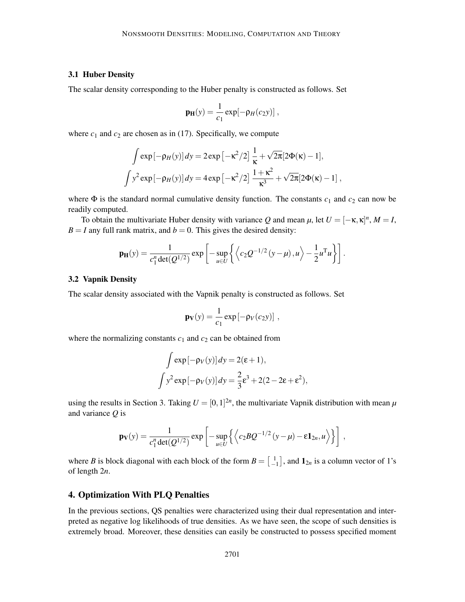#### 3.1 Huber Density

The scalar density corresponding to the Huber penalty is constructed as follows. Set

$$
\mathbf{p}_{\mathbf{H}}(y) = \frac{1}{c_1} \exp[-\rho_H(c_2 y)],
$$

where  $c_1$  and  $c_2$  are chosen as in (17). Specifically, we compute

$$
\int \exp[-\rho_H(y)] dy = 2 \exp\left[-\kappa^2/2\right] \frac{1}{\kappa} + \sqrt{2\pi} [2\Phi(\kappa) - 1],
$$
  

$$
\int y^2 \exp[-\rho_H(y)] dy = 4 \exp\left[-\kappa^2/2\right] \frac{1 + \kappa^2}{\kappa^3} + \sqrt{2\pi} [2\Phi(\kappa) - 1],
$$

where  $\Phi$  is the standard normal cumulative density function. The constants  $c_1$  and  $c_2$  can now be readily computed.

To obtain the multivariate Huber density with variance *Q* and mean  $\mu$ , let  $U = [-\kappa, \kappa]^n$ ,  $M = I$ ,  $B = I$  any full rank matrix, and  $b = 0$ . This gives the desired density:

$$
\mathbf{p}_{\mathbf{H}}(y) = \frac{1}{c_1^n \det(Q^{1/2})} \exp \left[ -\sup_{u \in U} \left\{ \left\langle c_2 Q^{-1/2} \left( y - \mu \right), u \right\rangle - \frac{1}{2} u^{\mathsf{T}} u \right\} \right].
$$

### 3.2 Vapnik Density

The scalar density associated with the Vapnik penalty is constructed as follows. Set

$$
\mathbf{p}_{\mathbf{V}}(y) = \frac{1}{c_1} \exp \left[ -\rho_V(c_2 y) \right] ,
$$

where the normalizing constants  $c_1$  and  $c_2$  can be obtained from

$$
\int \exp[-\rho_V(y)] dy = 2(\epsilon + 1),
$$

$$
\int y^2 \exp[-\rho_V(y)] dy = \frac{2}{3}\epsilon^3 + 2(2 - 2\epsilon + \epsilon^2),
$$

using the results in Section 3. Taking  $U = [0, 1]^{2n}$ , the multivariate Vapnik distribution with mean  $\mu$ and variance *Q* is

$$
\mathbf{p}_{\mathbf{V}}(y) = \frac{1}{c_1^n \det(Q^{1/2})} \exp \left[ -\sup_{u \in U} \left\{ \left\langle c_2 B Q^{-1/2} \left( y - \mu \right) - \varepsilon \mathbf{1}_{2n}, u \right\rangle \right\} \right],
$$

where *B* is block diagonal with each block of the form  $B = \begin{bmatrix} 1 \\ -1 \end{bmatrix}$ , and  $\mathbf{1}_{2n}$  is a column vector of 1's of length 2*n*.

# 4. Optimization With PLQ Penalties

In the previous sections, QS penalties were characterized using their dual representation and interpreted as negative log likelihoods of true densities. As we have seen, the scope of such densities is extremely broad. Moreover, these densities can easily be constructed to possess specified moment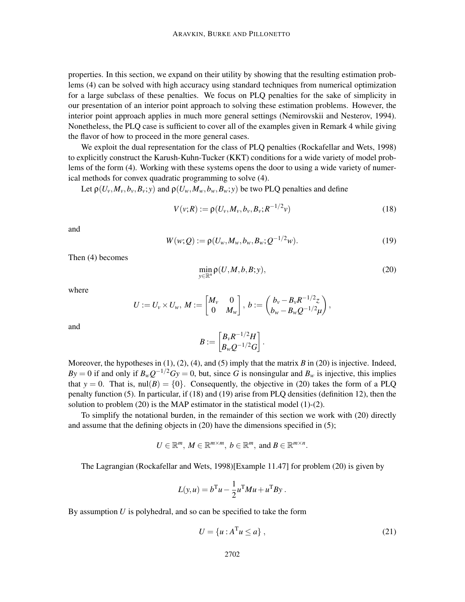properties. In this section, we expand on their utility by showing that the resulting estimation problems (4) can be solved with high accuracy using standard techniques from numerical optimization for a large subclass of these penalties. We focus on PLQ penalties for the sake of simplicity in our presentation of an interior point approach to solving these estimation problems. However, the interior point approach applies in much more general settings (Nemirovskii and Nesterov, 1994). Nonetheless, the PLQ case is sufficient to cover all of the examples given in Remark 4 while giving the flavor of how to proceed in the more general cases.

We exploit the dual representation for the class of PLQ penalties (Rockafellar and Wets, 1998) to explicitly construct the Karush-Kuhn-Tucker (KKT) conditions for a wide variety of model problems of the form (4). Working with these systems opens the door to using a wide variety of numerical methods for convex quadratic programming to solve (4).

Let  $\rho(U_v, M_v, b_v, B_v; v)$  and  $\rho(U_w, M_w, b_w, B_w; v)$  be two PLQ penalties and define

$$
V(v;R) := \rho(U_v, M_v, b_v, B_v; R^{-1/2}v)
$$
\n(18)

and

$$
W(w;Q) := \rho(U_w, M_w, b_w, B_w; Q^{-1/2}w).
$$
\n(19)

Then (4) becomes

$$
\min_{y \in \mathbb{R}^n} \rho(U, M, b, B; y),\tag{20}
$$

where

$$
U:=U_v\times U_w, M:=\begin{bmatrix}M_v & 0\\ 0 & M_w\end{bmatrix}, b:=\begin{pmatrix}b_v-B_vR^{-1/2}z\\ b_w-B_wQ^{-1/2}\mu\end{pmatrix},
$$

and

$$
B:=\begin{bmatrix}B_vR^{-1/2}H\\B_wQ^{-1/2}G\end{bmatrix}.
$$

Moreover, the hypotheses in  $(1)$ ,  $(2)$ ,  $(4)$ , and  $(5)$  imply that the matrix *B* in  $(20)$  is injective. Indeed, *By* = 0 if and only if  $B_w Q^{-1/2} Gy = 0$ , but, since *G* is nonsingular and  $B_w$  is injective, this implies that  $y = 0$ . That is,  $\text{null}(B) = \{0\}$ . Consequently, the objective in (20) takes the form of a PLQ penalty function (5). In particular, if (18) and (19) arise from PLQ densities (definition 12), then the solution to problem (20) is the MAP estimator in the statistical model (1)-(2).

To simplify the notational burden, in the remainder of this section we work with (20) directly and assume that the defining objects in (20) have the dimensions specified in (5);

$$
U \in \mathbb{R}^m, M \in \mathbb{R}^{m \times m}, b \in \mathbb{R}^m, \text{ and } B \in \mathbb{R}^{m \times n}.
$$

The Lagrangian (Rockafellar and Wets, 1998)[Example 11.47] for problem (20) is given by

$$
L(y, u) = bTu - \frac{1}{2}uTMu + uTBy.
$$

By assumption *U* is polyhedral, and so can be specified to take the form

$$
U = \{u : A^{\mathrm{T}}u \le a\},\tag{21}
$$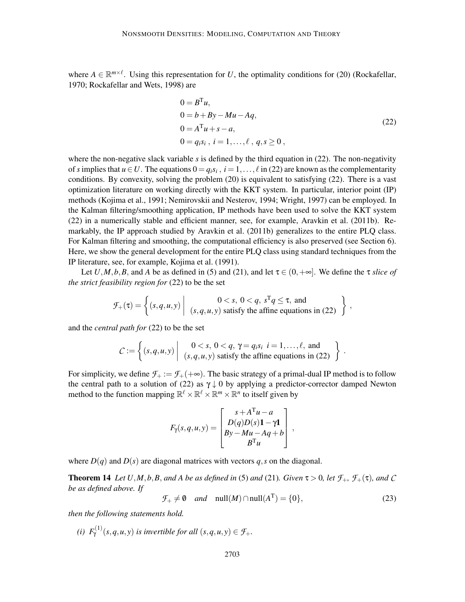where  $A \in \mathbb{R}^{m \times \ell}$ . Using this representation for *U*, the optimality conditions for (20) (Rockafellar, 1970; Rockafellar and Wets, 1998) are

$$
0 = BTu,\n0 = b + By - Mu - Aq,\n0 = ATu + s - a,\n0 = qisi, i = 1,..., l, q, s \ge 0,
$$
\n(22)

where the non-negative slack variable *s* is defined by the third equation in (22). The non-negativity of *s* implies that  $u \in U$ . The equations  $0 = q_i s_i$ ,  $i = 1, ..., \ell$  in (22) are known as the complementarity conditions. By convexity, solving the problem (20) is equivalent to satisfying (22). There is a vast optimization literature on working directly with the KKT system. In particular, interior point (IP) methods (Kojima et al., 1991; Nemirovskii and Nesterov, 1994; Wright, 1997) can be employed. In the Kalman filtering/smoothing application, IP methods have been used to solve the KKT system (22) in a numerically stable and efficient manner, see, for example, Aravkin et al. (2011b). Remarkably, the IP approach studied by Aravkin et al. (2011b) generalizes to the entire PLQ class. For Kalman filtering and smoothing, the computational efficiency is also preserved (see Section 6). Here, we show the general development for the entire PLQ class using standard techniques from the IP literature, see, for example, Kojima et al. (1991).

Let *U*,*M*,*b*,*B*, and *A* be as defined in (5) and (21), and let  $\tau \in (0, +\infty]$ . We define the  $\tau$  *slice of the strict feasibility region for* (22) to be the set

$$
\mathcal{F}_+(\tau) = \left\{ (s, q, u, y) \middle| \begin{array}{c} 0 < s, \ 0 < q, \ s^T q \leq \tau, \text{ and} \\ (s, q, u, y) \text{ satisfy the affine equations in (22)} \end{array} \right\},
$$

and the *central path for* (22) to be the set

$$
C := \left\{ (s, q, u, y) \middle| \begin{array}{c} 0 < s, \ 0 < q, \ \gamma = q_i s_i \ i = 1, \dots, \ell, \text{ and} \\ (s, q, u, y) \ \text{satisfy the affine equations in (22)} \end{array} \right\}.
$$

For simplicity, we define  $\mathcal{F}_+ := \mathcal{F}_+ (+\infty)$ . The basic strategy of a primal-dual IP method is to follow the central path to a solution of (22) as  $\gamma \downarrow 0$  by applying a predictor-corrector damped Newton method to the function mapping  $\mathbb{R}^{\ell} \times \mathbb{R}^{\ell} \times \mathbb{R}^m \times \mathbb{R}^n$  to itself given by

$$
F_{\gamma}(s,q,u,y) = \begin{bmatrix} s + A^{\mathrm{T}}u - a \\ D(q)D(s)\mathbf{1} - \gamma \mathbf{1} \\ By - Mu - Aq + b \\ B^{\mathrm{T}}u \end{bmatrix},
$$

where  $D(q)$  and  $D(s)$  are diagonal matrices with vectors q, s on the diagonal.

**Theorem 14** *Let*  $U, M, b, B$ *, and*  $A$  *be as defined in* (5) *and* (21)*. Given*  $\tau > 0$ *, let*  $\mathcal{F}_+$ *,*  $\mathcal{F}_+(\tau)$ *, and*  $C$ *be as defined above. If*

$$
\mathcal{F}_{+} \neq \mathbf{0} \quad \text{and} \quad \text{null}(M) \cap \text{null}(A^{T}) = \{0\},\tag{23}
$$

*then the following statements hold.*

*(i)*  $F_{\gamma}^{(1)}(s,q,u,y)$  *is invertible for all*  $(s,q,u,y) \in \mathcal{F}_+$ .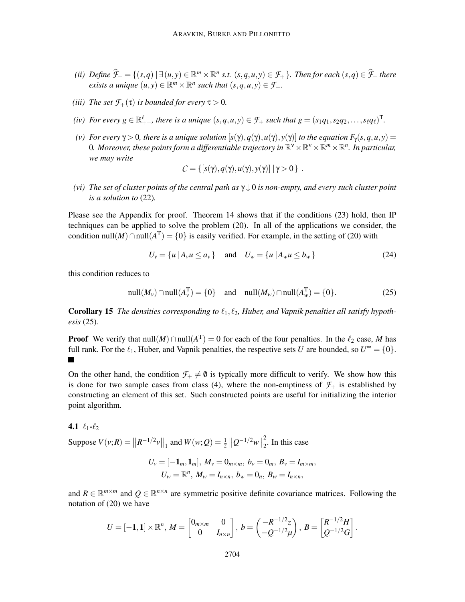- (ii) Define  $\widehat{\mathcal{F}}_+=\{(s,q)\ |\ \exists\,(u,y)\in \mathbb{R}^m\times\mathbb{R}^n \text{ s.t. }(s,q,u,y)\in\mathcal{F}_+\ \}.$  Then for each  $(s,q)\in\widehat{\mathcal{F}}_+$  there  $(u, y) \in \mathbb{R}^m \times \mathbb{R}^n$  *<i>such that*  $(s, q, u, y) \in \mathcal{F}_+$ .
- *(iii)* The set  $\mathcal{F}_+(\tau)$  *is bounded for every*  $\tau > 0$ *.*
- *(iv)* For every  $g \in \mathbb{R}^{\ell}_{++}$ , there is a unique  $(s, q, u, y) \in \mathcal{F}_+$  such that  $g = (s_1q_1, s_2q_2, \ldots, s_\ell q_\ell)^T$ .
- *(v)* For every  $\gamma > 0$ , there is a unique solution  $[s(\gamma), q(\gamma), u(\gamma), y(\gamma)]$  to the equation  $F_\gamma(s, q, u, y)$  = 0. Moreover, these points form a differentiable trajectory in  $\mathbb{R}^{\vee}\times\mathbb{R}^{\vee}\times\mathbb{R}^n\times\mathbb{R}^n$ . In particular, *we may write*

$$
C = \{ [s(\gamma), q(\gamma), u(\gamma), y(\gamma)] \mid \gamma > 0 \}.
$$

*(vi) The set of cluster points of the central path as* γ ↓ 0 *is non-empty, and every such cluster point is a solution to* (22)*.*

Please see the Appendix for proof. Theorem 14 shows that if the conditions (23) hold, then IP techniques can be applied to solve the problem (20). In all of the applications we consider, the condition null(*M*)∩null( $A<sup>T</sup>$ ) = {0} is easily verified. For example, in the setting of (20) with

$$
U_{v} = \{u \mid A_{v} u \le a_{v}\} \quad \text{and} \quad U_{w} = \{u \mid A_{w} u \le b_{w}\}\tag{24}
$$

this condition reduces to

$$
\text{null}(M_v) \cap \text{null}(A_v^{\text{T}}) = \{0\} \quad \text{and} \quad \text{null}(M_w) \cap \text{null}(A_w^{\text{T}}) = \{0\}. \tag{25}
$$

**Corollary 15** The densities corresponding to  $\ell_1, \ell_2$ , Huber, and Vapnik penalties all satisfy hypoth*esis* (25)*.*

**Proof** We verify that  $null(M) \cap null(A^T) = 0$  for each of the four penalties. In the  $\ell_2$  case, *M* has full rank. For the  $\ell_1$ , Huber, and Vapnik penalties, the respective sets *U* are bounded, so  $U^{\infty} = \{0\}$ .  $\blacksquare$ 

On the other hand, the condition  $\mathcal{F}_+ \neq \emptyset$  is typically more difficult to verify. We show how this is done for two sample cases from class (4), where the non-emptiness of  $\mathcal{F}_+$  is established by constructing an element of this set. Such constructed points are useful for initializing the interior point algorithm.

4.1  $\ell_1$ - $\ell_2$ 

Suppose  $V(v; R) = ||R^{-1/2}v||_1$  and  $W(w; Q) = \frac{1}{2} ||Q^{-1/2}w||_2^2$  $\frac{2}{2}$ . In this case

$$
U_{v} = [-\mathbf{1}_{m}, \mathbf{1}_{m}], M_{v} = 0_{m \times m}, b_{v} = 0_{m}, B_{v} = I_{m \times m},
$$
  

$$
U_{w} = \mathbb{R}^{n}, M_{w} = I_{n \times n}, b_{w} = 0_{n}, B_{w} = I_{n \times n},
$$

and  $R \in \mathbb{R}^{m \times m}$  and  $Q \in \mathbb{R}^{n \times n}$  are symmetric positive definite covariance matrices. Following the notation of (20) we have

$$
U = [-1,1] \times \mathbb{R}^n, M = \begin{bmatrix} 0_{m \times m} & 0 \\ 0 & I_{n \times n} \end{bmatrix}, b = \begin{pmatrix} -R^{-1/2}z \\ -Q^{-1/2}\mu \end{pmatrix}, B = \begin{bmatrix} R^{-1/2}H \\ Q^{-1/2}G \end{bmatrix}
$$

.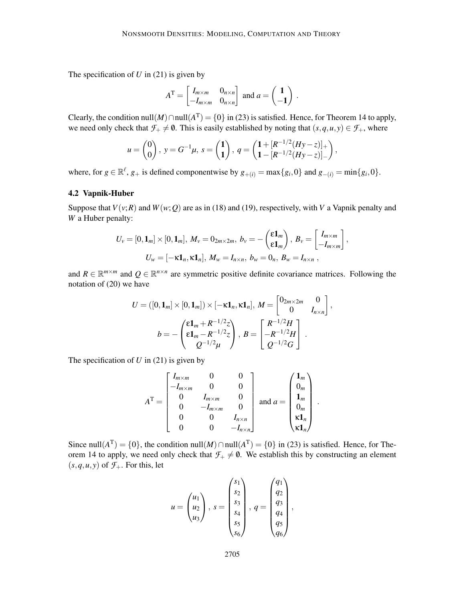The specification of *U* in (21) is given by

$$
AT = \begin{bmatrix} I_{m \times m} & 0_{n \times n} \\ -I_{m \times m} & 0_{n \times n} \end{bmatrix}
$$
 and  $a = \begin{pmatrix} 1 \\ -1 \end{pmatrix}$ .

Clearly, the condition null(*M*)∩null( $A<sup>T</sup>$ ) = {0} in (23) is satisfied. Hence, for Theorem 14 to apply, we need only check that  $\mathcal{F}_+ \neq \emptyset$ . This is easily established by noting that  $(s, q, u, y) \in \mathcal{F}_+$ , where

$$
u = \begin{pmatrix} 0 \\ 0 \end{pmatrix}, y = G^{-1}\mu, s = \begin{pmatrix} 1 \\ 1 \end{pmatrix}, q = \begin{pmatrix} 1 + [R^{-1/2}(Hy - z)]_+ \\ 1 - [R^{-1/2}(Hy - z)]_- \end{pmatrix},
$$

where, for  $g \in \mathbb{R}^{\ell}$ ,  $g_{+}$  is defined componentwise by  $g_{+(i)} = \max\{g_i, 0\}$  and  $g_{-(i)} = \min\{g_i, 0\}$ .

# 4.2 Vapnik-Huber

Suppose that  $V(v;R)$  and  $W(w;Q)$  are as in (18) and (19), respectively, with *V* a Vapnik penalty and *W* a Huber penalty:

$$
U_{\nu} = [0, \mathbf{1}_m] \times [0, \mathbf{1}_m], M_{\nu} = 0_{2m \times 2m}, b_{\nu} = -\begin{pmatrix} \epsilon \mathbf{1}_m \\ \epsilon \mathbf{1}_m \end{pmatrix}, B_{\nu} = \begin{bmatrix} I_{m \times m} \\ -I_{m \times m} \end{bmatrix},
$$
  

$$
U_{\nu} = [-\kappa \mathbf{1}_n, \kappa \mathbf{1}_n], M_{\nu} = I_{n \times n}, b_{\nu} = 0_n, B_{\nu} = I_{n \times n},
$$

and  $R \in \mathbb{R}^{m \times m}$  and  $Q \in \mathbb{R}^{n \times n}$  are symmetric positive definite covariance matrices. Following the notation of (20) we have

$$
U = ([0, \mathbf{1}_m] \times [0, \mathbf{1}_m]) \times [-\kappa \mathbf{1}_n, \kappa \mathbf{1}_n], M = \begin{bmatrix} 0_{2m \times 2m} & 0 \\ 0 & I_{n \times n} \end{bmatrix},
$$

$$
b = -\begin{pmatrix} \varepsilon \mathbf{1}_m + R^{-1/2}z \\ \varepsilon \mathbf{1}_m - R^{-1/2}z \\ Q^{-1/2}\mu \end{pmatrix}, B = \begin{bmatrix} R^{-1/2}H \\ -R^{-1/2}H \\ Q^{-1/2}G \end{bmatrix}.
$$

The specification of *U* in (21) is given by

$$
A^{T} = \begin{bmatrix} I_{m \times m} & 0 & 0 \\ -I_{m \times m} & 0 & 0 \\ 0 & I_{m \times m} & 0 \\ 0 & -I_{m \times m} & 0 \\ 0 & 0 & I_{n \times n} \\ 0 & 0 & -I_{n \times n} \end{bmatrix} \text{ and } a = \begin{pmatrix} 1_{m} \\ 0_{m} \\ 1_{m} \\ 0_{m} \\ \kappa 1_{n} \end{pmatrix}.
$$

Since null( $A<sup>T</sup>$ ) = {0}, the condition null( $M$ )  $\cap$  null( $A<sup>T</sup>$ ) = {0} in (23) is satisfied. Hence, for Theorem 14 to apply, we need only check that  $\mathcal{F}_+ \neq \emptyset$ . We establish this by constructing an element  $(s, q, u, y)$  of  $\mathcal{F}_+$ . For this, let

$$
u = \begin{pmatrix} u_1 \\ u_2 \\ u_3 \end{pmatrix}, s = \begin{pmatrix} s_1 \\ s_2 \\ s_3 \\ s_4 \\ s_5 \\ s_6 \end{pmatrix}, q = \begin{pmatrix} q_1 \\ q_2 \\ q_3 \\ q_4 \\ q_5 \\ q_6 \end{pmatrix},
$$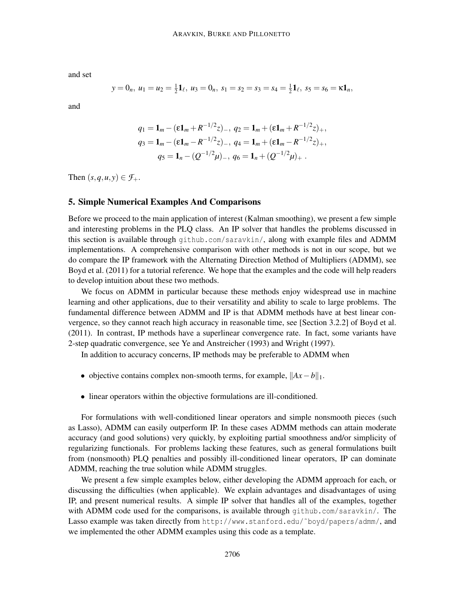and set

$$
y = 0_n, u_1 = u_2 = \frac{1}{2}\mathbf{1}_{\ell}, u_3 = 0_n, s_1 = s_2 = s_3 = s_4 = \frac{1}{2}\mathbf{1}_{\ell}, s_5 = s_6 = \kappa \mathbf{1}_n,
$$

and

$$
q_1 = \mathbf{1}_m - (\epsilon \mathbf{1}_m + R^{-1/2} z)_-, \ q_2 = \mathbf{1}_m + (\epsilon \mathbf{1}_m + R^{-1/2} z)_+,
$$
  
\n
$$
q_3 = \mathbf{1}_m - (\epsilon \mathbf{1}_m - R^{-1/2} z)_-, \ q_4 = \mathbf{1}_m + (\epsilon \mathbf{1}_m - R^{-1/2} z)_+,
$$
  
\n
$$
q_5 = \mathbf{1}_n - (Q^{-1/2} \mu)_-, \ q_6 = \mathbf{1}_n + (Q^{-1/2} \mu)_+ .
$$

Then  $(s, q, u, v) \in \mathcal{F}_+$ .

# 5. Simple Numerical Examples And Comparisons

Before we proceed to the main application of interest (Kalman smoothing), we present a few simple and interesting problems in the PLQ class. An IP solver that handles the problems discussed in this section is available through github.com/saravkin/, along with example files and ADMM implementations. A comprehensive comparison with other methods is not in our scope, but we do compare the IP framework with the Alternating Direction Method of Multipliers (ADMM), see Boyd et al. (2011) for a tutorial reference. We hope that the examples and the code will help readers to develop intuition about these two methods.

We focus on ADMM in particular because these methods enjoy widespread use in machine learning and other applications, due to their versatility and ability to scale to large problems. The fundamental difference between ADMM and IP is that ADMM methods have at best linear convergence, so they cannot reach high accuracy in reasonable time, see [Section 3.2.2] of Boyd et al. (2011). In contrast, IP methods have a superlinear convergence rate. In fact, some variants have 2-step quadratic convergence, see Ye and Anstreicher (1993) and Wright (1997).

In addition to accuracy concerns, IP methods may be preferable to ADMM when

- objective contains complex non-smooth terms, for example,  $||Ax b||_1$ .
- linear operators within the objective formulations are ill-conditioned.

For formulations with well-conditioned linear operators and simple nonsmooth pieces (such as Lasso), ADMM can easily outperform IP. In these cases ADMM methods can attain moderate accuracy (and good solutions) very quickly, by exploiting partial smoothness and/or simplicity of regularizing functionals. For problems lacking these features, such as general formulations built from (nonsmooth) PLQ penalties and possibly ill-conditioned linear operators, IP can dominate ADMM, reaching the true solution while ADMM struggles.

We present a few simple examples below, either developing the ADMM approach for each, or discussing the difficulties (when applicable). We explain advantages and disadvantages of using IP, and present numerical results. A simple IP solver that handles all of the examples, together with ADMM code used for the comparisons, is available through github.com/saravkin/. The Lasso example was taken directly from http://www.stanford.edu/~boyd/papers/admm/, and we implemented the other ADMM examples using this code as a template.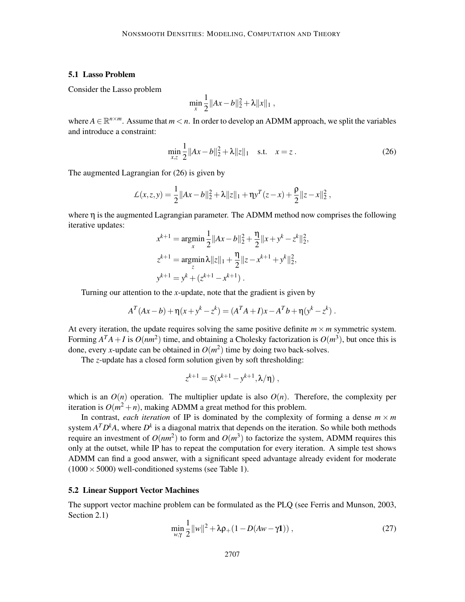### 5.1 Lasso Problem

Consider the Lasso problem

$$
\min_{x} \frac{1}{2} ||Ax - b||_2^2 + \lambda ||x||_1,
$$

where  $A \in \mathbb{R}^{n \times m}$ . Assume that  $m < n$ . In order to develop an ADMM approach, we split the variables and introduce a constraint:

$$
\min_{x,z} \frac{1}{2} \|Ax - b\|_2^2 + \lambda \|z\|_1 \quad \text{s.t.} \quad x = z. \tag{26}
$$

,

The augmented Lagrangian for (26) is given by

$$
\mathcal{L}(x, z, y) = \frac{1}{2} ||Ax - b||_2^2 + \lambda ||z||_1 + \eta y^T (z - x) + \frac{\rho}{2} ||z - x||_2^2
$$

where  $\eta$  is the augmented Lagrangian parameter. The ADMM method now comprises the following iterative updates:

$$
x^{k+1} = \underset{x}{\operatorname{argmin}} \frac{1}{2} ||Ax - b||_2^2 + \frac{\eta}{2} ||x + y^k - z^k||_2^2,
$$
  
\n
$$
z^{k+1} = \underset{x}{\operatorname{argmin}} \lambda ||z||_1 + \frac{\eta}{2} ||z - x^{k+1} + y^k||_2^2,
$$
  
\n
$$
y^{k+1} = y^k + (z^{k+1} - x^{k+1}).
$$

Turning our attention to the *x*-update, note that the gradient is given by

$$
A^T (Ax - b) + \eta (x + y^k - z^k) = (A^T A + I)x - A^T b + \eta (y^k - z^k).
$$

At every iteration, the update requires solving the same positive definite  $m \times m$  symmetric system. Forming  $A^T A + I$  is  $O(nm^2)$  time, and obtaining a Cholesky factorization is  $O(m^3)$ , but once this is done, every *x*-update can be obtained in  $O(m^2)$  time by doing two back-solves.

The *z*-update has a closed form solution given by soft thresholding:

$$
z^{k+1} = S(x^{k+1} - y^{k+1}, \lambda/\eta) ,
$$

which is an  $O(n)$  operation. The multiplier update is also  $O(n)$ . Therefore, the complexity per iteration is  $O(m^2 + n)$ , making ADMM a great method for this problem.

In contrast, *each iteration* of IP is dominated by the complexity of forming a dense  $m \times m$ system  $A^T D^k A$ , where  $D^k$  is a diagonal matrix that depends on the iteration. So while both methods require an investment of  $O(nm^2)$  to form and  $O(m^3)$  to factorize the system, ADMM requires this only at the outset, while IP has to repeat the computation for every iteration. A simple test shows ADMM can find a good answer, with a significant speed advantage already evident for moderate  $(1000 \times 5000)$  well-conditioned systems (see Table 1).

#### 5.2 Linear Support Vector Machines

The support vector machine problem can be formulated as the PLQ (see Ferris and Munson, 2003, Section 2.1)

$$
\min_{w,\gamma} \frac{1}{2} ||w||^2 + \lambda \rho_+(1 - D(Aw - \gamma 1)), \qquad (27)
$$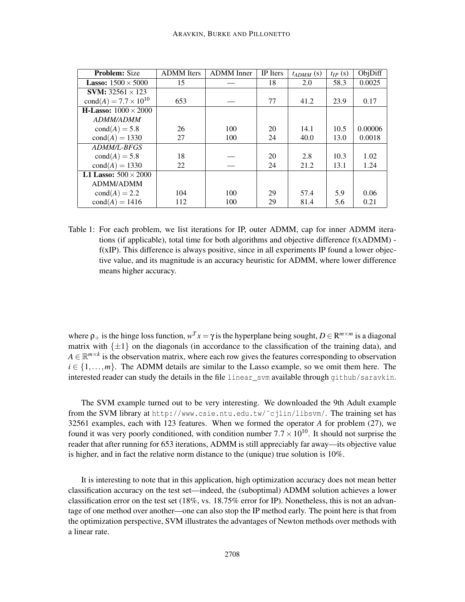| <b>Problem:</b> Size               | <b>ADMM</b> Iters | <b>ADMM</b> Inner | IP Iters | $t_{ADMM}$ (s) | $t_{IP}(s)$ | ObjDiff |
|------------------------------------|-------------------|-------------------|----------|----------------|-------------|---------|
| <b>Lasso:</b> $1500 \times 5000$   | 15                |                   | 18       | 2.0            | 58.3        | 0.0025  |
| <b>SVM:</b> 32561 $\times$ 123     |                   |                   |          |                |             |         |
| $cond(A) = 7.7 \times 10^{10}$     | 653               |                   | 77       | 41.2           | 23.9        | 0.17    |
| <b>H-Lasso:</b> $1000 \times 2000$ |                   |                   |          |                |             |         |
| <i>ADMM/ADMM</i>                   |                   |                   |          |                |             |         |
| $cond(A) = 5.8$                    | 26                | 100               | 20       | 14.1           | 10.5        | 0.00006 |
| $cond(A) = 1330$                   | 27                | 100               | 24       | 40.0           | 13.0        | 0.0018  |
| ADMM/L-BFGS                        |                   |                   |          |                |             |         |
| $cond(A) = 5.8$                    | 18                |                   | 20       | 2.8            | 10.3        | 1.02    |
| $cond(A) = 1330$                   | 22                |                   | 24       | 21.2           | 13.1        | 1.24    |
| L1 Lasso: $500 \times 2000$        |                   |                   |          |                |             |         |
| ADMM/ADMM                          |                   |                   |          |                |             |         |
| $cond(A) = 2.2$                    | 104               | 100               | 29       | 57.4           | 5.9         | 0.06    |
| $cond(A) = 1416$                   | 112               | 100               | 29       | 81.4           | 5.6         | 0.21    |

Table 1: For each problem, we list iterations for IP, outer ADMM, cap for inner ADMM iterations (if applicable), total time for both algorithms and objective difference f(xADMM) f(xIP). This difference is always positive, since in all experiments IP found a lower objective value, and its magnitude is an accuracy heuristic for ADMM, where lower difference means higher accuracy.

where  $\rho_+$  is the hinge loss function,  $w^T x = \gamma$  is the hyperplane being sought,  $D \in \mathbb{R}^{m \times m}$  is a diagonal matrix with  $\{\pm 1\}$  on the diagonals (in accordance to the classification of the training data), and  $A \in \mathbb{R}^{m \times k}$  is the observation matrix, where each row gives the features corresponding to observation  $i \in \{1, \ldots, m\}$ . The ADMM details are similar to the Lasso example, so we omit them here. The interested reader can study the details in the file linear sym available through github/saravkin.

The SVM example turned out to be very interesting. We downloaded the 9th Adult example from the SVM library at http://www.csie.ntu.edu.tw/˜cjlin/libsvm/. The training set has 32561 examples, each with 123 features. When we formed the operator *A* for problem (27), we found it was very poorly conditioned, with condition number  $7.7 \times 10^{10}$ . It should not surprise the reader that after running for 653 iterations, ADMM is still appreciably far away—its objective value is higher, and in fact the relative norm distance to the (unique) true solution is 10%.

It is interesting to note that in this application, high optimization accuracy does not mean better classification accuracy on the test set—indeed, the (suboptimal) ADMM solution achieves a lower classification error on the test set (18%, vs. 18.75% error for IP). Nonetheless, this is not an advantage of one method over another—one can also stop the IP method early. The point here is that from the optimization perspective, SVM illustrates the advantages of Newton methods over methods with a linear rate.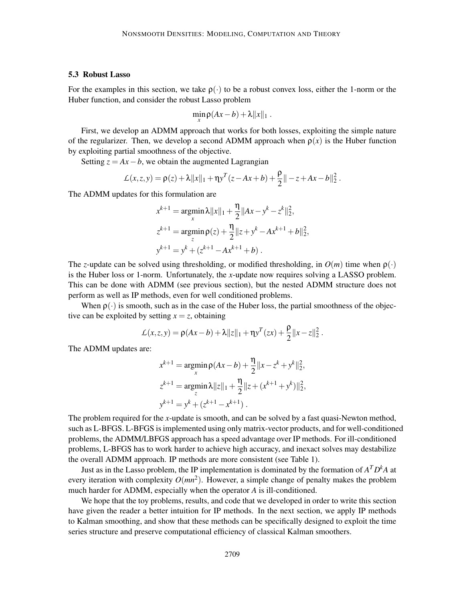#### 5.3 Robust Lasso

For the examples in this section, we take  $\rho(\cdot)$  to be a robust convex loss, either the 1-norm or the Huber function, and consider the robust Lasso problem

$$
\min_{x} \rho(Ax-b) + \lambda ||x||_1.
$$

First, we develop an ADMM approach that works for both losses, exploiting the simple nature of the regularizer. Then, we develop a second ADMM approach when  $\rho(x)$  is the Huber function by exploiting partial smoothness of the objective.

Setting  $z = Ax - b$ , we obtain the augmented Lagrangian

$$
\mathcal{L}(x, z, y) = \rho(z) + \lambda ||x||_1 + \eta y^T (z - Ax + b) + \frac{\rho}{2} || - z + Ax - b||_2^2.
$$

The ADMM updates for this formulation are

$$
x^{k+1} = \underset{x}{\operatorname{argmin}} \lambda ||x||_1 + \frac{\eta}{2} ||Ax - y^k - z^k||_2^2,
$$
  
\n
$$
z^{k+1} = \underset{z}{\operatorname{argmin}} \rho(z) + \frac{\eta}{2} ||z + y^k - Ax^{k+1} + b||_2^2,
$$
  
\n
$$
y^{k+1} = y^k + (z^{k+1} - Ax^{k+1} + b).
$$

The *z*-update can be solved using thresholding, or modified thresholding, in  $O(m)$  time when  $\rho(\cdot)$ is the Huber loss or 1-norm. Unfortunately, the *x*-update now requires solving a LASSO problem. This can be done with ADMM (see previous section), but the nested ADMM structure does not perform as well as IP methods, even for well conditioned problems.

When  $\rho(\cdot)$  is smooth, such as in the case of the Huber loss, the partial smoothness of the objective can be exploited by setting  $x = z$ , obtaining

$$
\mathcal{L}(x, z, y) = \rho(Ax - b) + \lambda ||z||_1 + \eta y^T (zx) + \frac{\rho}{2} ||x - z||_2^2.
$$

The ADMM updates are:

$$
x^{k+1} = \underset{x}{\operatorname{argmin}} \rho(Ax - b) + \frac{\eta}{2} ||x - z^k + y^k||_2^2,
$$
  
\n
$$
z^{k+1} = \underset{z}{\operatorname{argmin}} \lambda ||z||_1 + \frac{\eta}{2} ||z + (x^{k+1} + y^k)||_2^2,
$$
  
\n
$$
y^{k+1} = y^k + (z^{k+1} - x^{k+1}).
$$

The problem required for the *x*-update is smooth, and can be solved by a fast quasi-Newton method, such as L-BFGS. L-BFGS is implemented using only matrix-vector products, and for well-conditioned problems, the ADMM/LBFGS approach has a speed advantage over IP methods. For ill-conditioned problems, L-BFGS has to work harder to achieve high accuracy, and inexact solves may destabilize the overall ADMM approach. IP methods are more consistent (see Table 1).

Just as in the Lasso problem, the IP implementation is dominated by the formation of  $A<sup>T</sup>D<sup>k</sup>A$  at every iteration with complexity  $O(mn^2)$ . However, a simple change of penalty makes the problem much harder for ADMM, especially when the operator *A* is ill-conditioned.

We hope that the toy problems, results, and code that we developed in order to write this section have given the reader a better intuition for IP methods. In the next section, we apply IP methods to Kalman smoothing, and show that these methods can be specifically designed to exploit the time series structure and preserve computational efficiency of classical Kalman smoothers.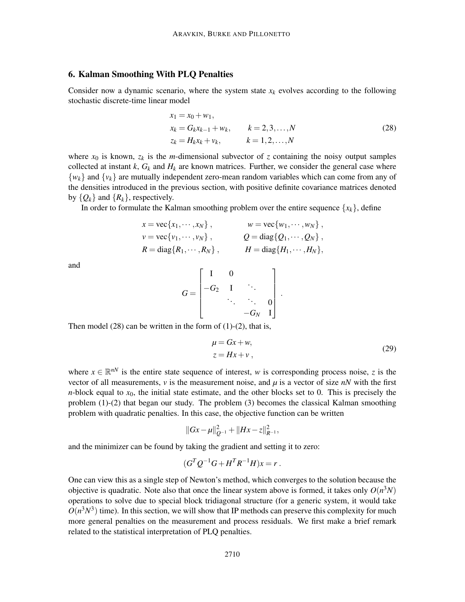# 6. Kalman Smoothing With PLQ Penalties

Consider now a dynamic scenario, where the system state  $x_k$  evolves according to the following stochastic discrete-time linear model

$$
x_1 = x_0 + w_1,
$$
  
\n
$$
x_k = G_k x_{k-1} + w_k, \qquad k = 2, 3, ..., N
$$
  
\n
$$
z_k = H_k x_k + v_k, \qquad k = 1, 2, ..., N
$$
\n(28)

where  $x_0$  is known,  $z_k$  is the *m*-dimensional subvector of *z* containing the noisy output samples collected at instant  $k$ ,  $G_k$  and  $H_k$  are known matrices. Further, we consider the general case where  $\{w_k\}$  and  $\{v_k\}$  are mutually independent zero-mean random variables which can come from any of the densities introduced in the previous section, with positive definite covariance matrices denoted by  $\{Q_k\}$  and  $\{R_k\}$ , respectively.

In order to formulate the Kalman smoothing problem over the entire sequence  $\{x_k\}$ , define

$$
x = \text{vec}\lbrace x_1, \cdots, x_N \rbrace, \qquad w = \text{vec}\lbrace w_1, \cdots, w_N \rbrace,
$$
  
\n
$$
v = \text{vec}\lbrace v_1, \cdots, v_N \rbrace, \qquad Q = \text{diag}\lbrace Q_1, \cdots, Q_N \rbrace,
$$
  
\n
$$
R = \text{diag}\lbrace R_1, \cdots, R_N \rbrace, \qquad H = \text{diag}\lbrace H_1, \cdots, H_N \rbrace,
$$

and

$$
G = \begin{bmatrix} 1 & 0 & & & \\ -G_2 & 1 & \ddots & & \\ & \ddots & \ddots & 0 \\ & & -G_N & 1 \end{bmatrix}.
$$

Then model  $(28)$  can be written in the form of  $(1)-(2)$ , that is,

$$
\mu = Gx + w,
$$
  
\n
$$
z = Hx + v,
$$
\n(29)

where  $x \in \mathbb{R}^{nN}$  is the entire state sequence of interest, *w* is corresponding process noise, *z* is the vector of all measurements,  $\nu$  is the measurement noise, and  $\mu$  is a vector of size  $nN$  with the first *n*-block equal to  $x_0$ , the initial state estimate, and the other blocks set to 0. This is precisely the problem (1)-(2) that began our study. The problem (3) becomes the classical Kalman smoothing problem with quadratic penalties. In this case, the objective function can be written

$$
||Gx-\mu||_{Q^{-1}}^2+||Hx-z||_{R^{-1}}^2,
$$

and the minimizer can be found by taking the gradient and setting it to zero:

$$
(G^TQ^{-1}G + H^TR^{-1}H)x = r.
$$

One can view this as a single step of Newton's method, which converges to the solution because the objective is quadratic. Note also that once the linear system above is formed, it takes only  $O(n^3N)$ operations to solve due to special block tridiagonal structure (for a generic system, it would take  $O(n^3N^3)$  time). In this section, we will show that IP methods can preserve this complexity for much more general penalties on the measurement and process residuals. We first make a brief remark related to the statistical interpretation of PLQ penalties.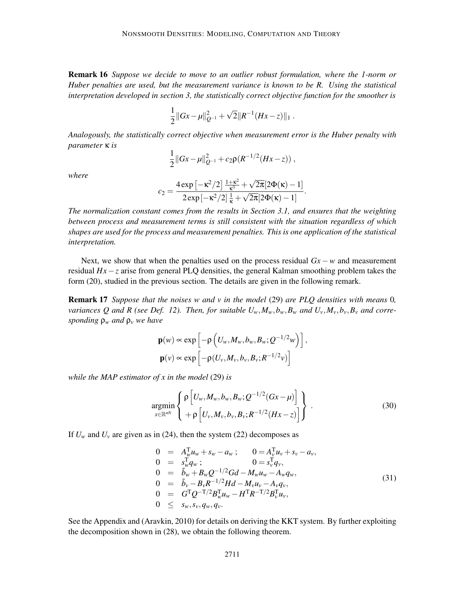Remark 16 *Suppose we decide to move to an outlier robust formulation, where the 1-norm or Huber penalties are used, but the measurement variance is known to be R. Using the statistical interpretation developed in section 3, the statistically correct objective function for the smoother is*

$$
\frac{1}{2}||Gx-\mu||_{Q^{-1}}^2+\sqrt{2}||R^{-1}(Hx-z)||_1.
$$

*Analogously, the statistically correct objective when measurement error is the Huber penalty with parameter* κ *is*

$$
\frac{1}{2}||Gx-\mu||_{Q^{-1}}^2+c_2\rho(R^{-1/2}(Hx-z)),
$$

*where*

$$
c_2=\frac{4\exp\left[-\kappa^2/2\right]\frac{1+\kappa^2}{\kappa^3}+\sqrt{2\pi}[2\Phi(\kappa)-1]}{2\exp\left[-\kappa^2/2\right]\frac{1}{\kappa}+\sqrt{2\pi}[2\Phi(\kappa)-1]}.
$$

*The normalization constant comes from the results in Section 3.1, and ensures that the weighting between process and measurement terms is still consistent with the situation regardless of which shapes are used for the process and measurement penalties. This is one application of the statistical interpretation.*

Next, we show that when the penalties used on the process residual *Gx* − *w* and measurement residual *Hx*−*z* arise from general PLQ densities, the general Kalman smoothing problem takes the form (20), studied in the previous section. The details are given in the following remark.

Remark 17 *Suppose that the noises w and v in the model* (29) *are PLQ densities with means* 0*, variances Q and R (see Def. 12). Then, for suitable*  $U_w$ *,* $M_w$ *,* $b_w$ *,* $B_w$  *<i>and*  $U_v$ , $M_v$ , $b_v$ , $B_v$  *and corresponding* ρ*<sup>w</sup> and* ρ*<sup>v</sup> we have*

$$
\mathbf{p}(w) \propto \exp\left[-\rho\left(U_w, M_w, b_w, B_w; Q^{-1/2}w\right)\right],
$$
  

$$
\mathbf{p}(v) \propto \exp\left[-\rho(U_v, M_v, b_v, B_v; R^{-1/2}v)\right]
$$

*while the MAP estimator of x in the model* (29) *is*

$$
\underset{x \in \mathbb{R}^{nN}}{\text{argmin}} \left\{ \frac{\rho \left[ U_w, M_w, b_w, B_w; Q^{-1/2} (Gx - \mu) \right]}{+\rho \left[ U_v, M_v, b_v, B_v; R^{-1/2} (Hx - z) \right]} \right\}.
$$
\n(30)

If  $U_w$  and  $U_v$  are given as in (24), then the system (22) decomposes as

$$
0 = A_{w}^{\mathrm{T}} u_{w} + s_{w} - a_{w}; \t 0 = A_{v}^{\mathrm{T}} u_{v} + s_{v} - a_{v}, \n0 = s_{w}^{\mathrm{T}} q_{w}; \t 0 = s_{v}^{\mathrm{T}} q_{v}, \n0 = \tilde{b}_{w} + B_{w} Q^{-1/2} G d - M_{w} u_{w} - A_{w} q_{w}, \n0 = \tilde{b}_{v} - B_{v} R^{-1/2} H d - M_{v} u_{v} - A_{v} q_{v}, \n0 = G^{\mathrm{T}} Q^{-\mathrm{T}}/2 B_{w}^{\mathrm{T}} u_{w} - H^{\mathrm{T}} R^{-\mathrm{T}}/2 B_{v}^{\mathrm{T}} u_{v}, \n0 \leq s_{w}, s_{v}, q_{w}, q_{v}.
$$
\n(31)

See the Appendix and (Aravkin, 2010) for details on deriving the KKT system. By further exploiting the decomposition shown in (28), we obtain the following theorem.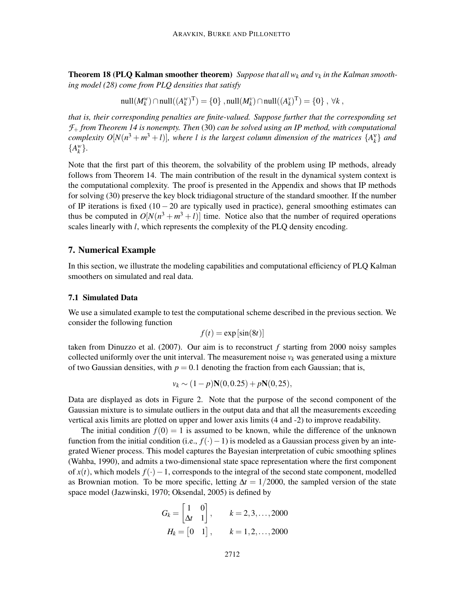**Theorem 18 (PLQ Kalman smoother theorem)** Suppose that all  $w_k$  and  $v_k$  in the Kalman smooth*ing model (28) come from PLQ densities that satisfy*

 $\text{null}(M_k^w) \cap \text{null}((A_k^w)^T) = \{0\}$ ,  $\text{null}(M_k^v) \cap \text{null}((A_k^v)^T) = \{0\}$ , ∀*k*,

*that is, their corresponding penalties are finite-valued. Suppose further that the corresponding set F*<sup>+</sup> *from Theorem 14 is nonempty. Then* (30) *can be solved using an IP method, with computational complexity*  $O[N(n^3 + m^3 + l)]$ , where *l* is the largest column dimension of the matrices  $\{A_k^{\vee}\}\$  and  ${A_k^w}$ .

Note that the first part of this theorem, the solvability of the problem using IP methods, already follows from Theorem 14. The main contribution of the result in the dynamical system context is the computational complexity. The proof is presented in the Appendix and shows that IP methods for solving (30) preserve the key block tridiagonal structure of the standard smoother. If the number of IP iterations is fixed  $(10 - 20)$  are typically used in practice), general smoothing estimates can thus be computed in  $O[N(n^3 + m^3 + l)]$  time. Notice also that the number of required operations scales linearly with *l*, which represents the complexity of the PLQ density encoding.

# 7. Numerical Example

In this section, we illustrate the modeling capabilities and computational efficiency of PLQ Kalman smoothers on simulated and real data.

#### 7.1 Simulated Data

We use a simulated example to test the computational scheme described in the previous section. We consider the following function

$$
f(t) = \exp\left[\sin(8t)\right]
$$

taken from Dinuzzo et al. (2007). Our aim is to reconstruct *f* starting from 2000 noisy samples collected uniformly over the unit interval. The measurement noise  $v_k$  was generated using a mixture of two Gaussian densities, with  $p = 0.1$  denoting the fraction from each Gaussian; that is,

$$
v_k \sim (1-p)\mathbf{N}(0, 0.25) + p\mathbf{N}(0, 25),
$$

Data are displayed as dots in Figure 2. Note that the purpose of the second component of the Gaussian mixture is to simulate outliers in the output data and that all the measurements exceeding vertical axis limits are plotted on upper and lower axis limits (4 and -2) to improve readability.

The initial condition  $f(0) = 1$  is assumed to be known, while the difference of the unknown function from the initial condition (i.e., *f*(·)−1) is modeled as a Gaussian process given by an integrated Wiener process. This model captures the Bayesian interpretation of cubic smoothing splines (Wahba, 1990), and admits a two-dimensional state space representation where the first component of *x*(*t*), which models *f*(·)−1, corresponds to the integral of the second state component, modelled as Brownian motion. To be more specific, letting ∆*t* = 1/2000, the sampled version of the state space model (Jazwinski, 1970; Oksendal, 2005) is defined by

$$
G_k = \begin{bmatrix} 1 & 0 \\ \Delta t & 1 \end{bmatrix}, \qquad k = 2, 3, \dots, 2000
$$

$$
H_k = \begin{bmatrix} 0 & 1 \end{bmatrix}, \qquad k = 1, 2, \dots, 2000
$$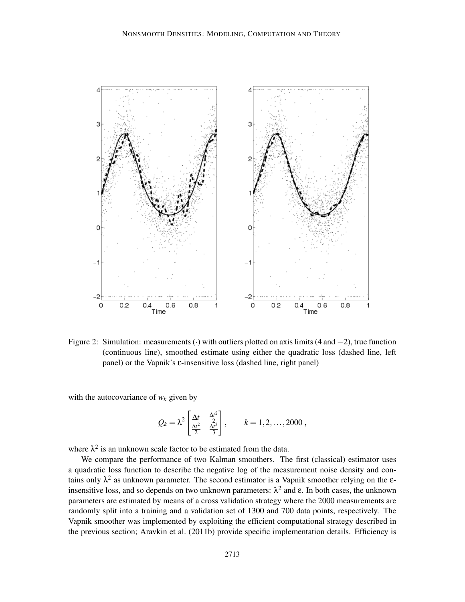

Figure 2: Simulation: measurements  $\cdot$ ) with outliers plotted on axis limits (4 and  $-2$ ), true function (continuous line), smoothed estimate using either the quadratic loss (dashed line, left panel) or the Vapnik's ε-insensitive loss (dashed line, right panel)

with the autocovariance of  $w_k$  given by

$$
Q_k = \lambda^2 \left[ \frac{\Delta t}{\frac{\Delta t^2}{2}} \frac{\frac{\Delta t^2}{2}}{\frac{\Delta t^3}{3}} \right], \qquad k = 1, 2, \ldots, 2000,
$$

where  $\lambda^2$  is an unknown scale factor to be estimated from the data.

We compare the performance of two Kalman smoothers. The first (classical) estimator uses a quadratic loss function to describe the negative log of the measurement noise density and contains only  $\lambda^2$  as unknown parameter. The second estimator is a Vapnik smoother relying on the  $\varepsilon$ insensitive loss, and so depends on two unknown parameters:  $\lambda^2$  and ε. In both cases, the unknown parameters are estimated by means of a cross validation strategy where the 2000 measurements are randomly split into a training and a validation set of 1300 and 700 data points, respectively. The Vapnik smoother was implemented by exploiting the efficient computational strategy described in the previous section; Aravkin et al. (2011b) provide specific implementation details. Efficiency is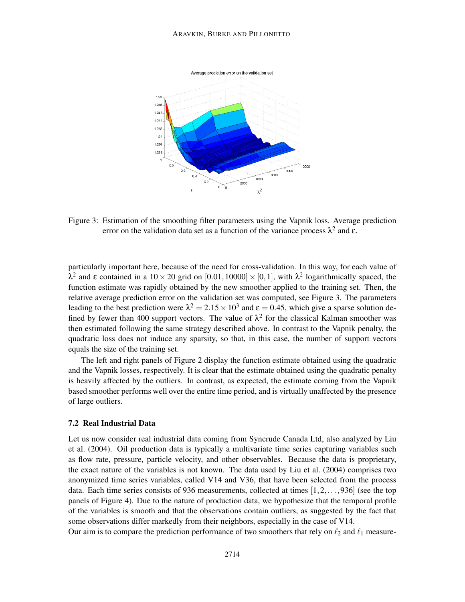#### ARAVKIN, BURKE AND PILLONETTO



Figure 3: Estimation of the smoothing filter parameters using the Vapnik loss. Average prediction error on the validation data set as a function of the variance process  $\lambda^2$  and  $\varepsilon$ .

particularly important here, because of the need for cross-validation. In this way, for each value of  $λ<sup>2</sup>$  and ε contained in a 10 × 20 grid on [0.01,10000] × [0,1], with  $λ<sup>2</sup>$  logarithmically spaced, the function estimate was rapidly obtained by the new smoother applied to the training set. Then, the relative average prediction error on the validation set was computed, see Figure 3. The parameters leading to the best prediction were  $\lambda^2 = 2.15 \times 10^3$  and  $\varepsilon = 0.45$ , which give a sparse solution defined by fewer than 400 support vectors. The value of  $\lambda^2$  for the classical Kalman smoother was then estimated following the same strategy described above. In contrast to the Vapnik penalty, the quadratic loss does not induce any sparsity, so that, in this case, the number of support vectors equals the size of the training set.

The left and right panels of Figure 2 display the function estimate obtained using the quadratic and the Vapnik losses, respectively. It is clear that the estimate obtained using the quadratic penalty is heavily affected by the outliers. In contrast, as expected, the estimate coming from the Vapnik based smoother performs well over the entire time period, and is virtually unaffected by the presence of large outliers.

### 7.2 Real Industrial Data

Let us now consider real industrial data coming from Syncrude Canada Ltd, also analyzed by Liu et al. (2004). Oil production data is typically a multivariate time series capturing variables such as flow rate, pressure, particle velocity, and other observables. Because the data is proprietary, the exact nature of the variables is not known. The data used by Liu et al. (2004) comprises two anonymized time series variables, called V14 and V36, that have been selected from the process data. Each time series consists of 936 measurements, collected at times [1,2,...,936] (see the top panels of Figure 4). Due to the nature of production data, we hypothesize that the temporal profile of the variables is smooth and that the observations contain outliers, as suggested by the fact that some observations differ markedly from their neighbors, especially in the case of V14.

Our aim is to compare the prediction performance of two smoothers that rely on  $\ell_2$  and  $\ell_1$  measure-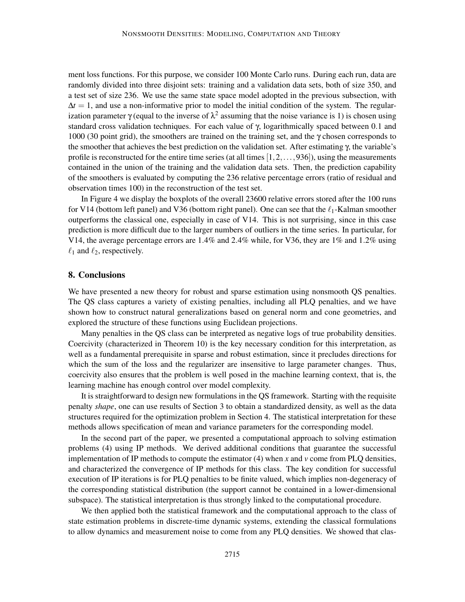ment loss functions. For this purpose, we consider 100 Monte Carlo runs. During each run, data are randomly divided into three disjoint sets: training and a validation data sets, both of size 350, and a test set of size 236. We use the same state space model adopted in the previous subsection, with  $\Delta t = 1$ , and use a non-informative prior to model the initial condition of the system. The regularization parameter  $\gamma$  (equal to the inverse of  $\lambda^2$  assuming that the noise variance is 1) is chosen using standard cross validation techniques. For each value of γ, logarithmically spaced between 0.1 and 1000 (30 point grid), the smoothers are trained on the training set, and the  $\gamma$  chosen corresponds to the smoother that achieves the best prediction on the validation set. After estimating γ, the variable's profile is reconstructed for the entire time series (at all times  $[1,2,\ldots,936]$ ), using the measurements contained in the union of the training and the validation data sets. Then, the prediction capability of the smoothers is evaluated by computing the 236 relative percentage errors (ratio of residual and observation times 100) in the reconstruction of the test set.

In Figure 4 we display the boxplots of the overall 23600 relative errors stored after the 100 runs for V14 (bottom left panel) and V36 (bottom right panel). One can see that the  $\ell_1$ -Kalman smoother outperforms the classical one, especially in case of V14. This is not surprising, since in this case prediction is more difficult due to the larger numbers of outliers in the time series. In particular, for V14, the average percentage errors are 1.4% and 2.4% while, for V36, they are 1% and 1.2% using  $\ell_1$  and  $\ell_2$ , respectively.

### 8. Conclusions

We have presented a new theory for robust and sparse estimation using nonsmooth QS penalties. The QS class captures a variety of existing penalties, including all PLQ penalties, and we have shown how to construct natural generalizations based on general norm and cone geometries, and explored the structure of these functions using Euclidean projections.

Many penalties in the QS class can be interpreted as negative logs of true probability densities. Coercivity (characterized in Theorem 10) is the key necessary condition for this interpretation, as well as a fundamental prerequisite in sparse and robust estimation, since it precludes directions for which the sum of the loss and the regularizer are insensitive to large parameter changes. Thus, coercivity also ensures that the problem is well posed in the machine learning context, that is, the learning machine has enough control over model complexity.

It is straightforward to design new formulations in the QS framework. Starting with the requisite penalty *shape*, one can use results of Section 3 to obtain a standardized density, as well as the data structures required for the optimization problem in Section 4. The statistical interpretation for these methods allows specification of mean and variance parameters for the corresponding model.

In the second part of the paper, we presented a computational approach to solving estimation problems (4) using IP methods. We derived additional conditions that guarantee the successful implementation of IP methods to compute the estimator (4) when *x* and *v* come from PLQ densities, and characterized the convergence of IP methods for this class. The key condition for successful execution of IP iterations is for PLQ penalties to be finite valued, which implies non-degeneracy of the corresponding statistical distribution (the support cannot be contained in a lower-dimensional subspace). The statistical interpretation is thus strongly linked to the computational procedure.

We then applied both the statistical framework and the computational approach to the class of state estimation problems in discrete-time dynamic systems, extending the classical formulations to allow dynamics and measurement noise to come from any PLQ densities. We showed that clas-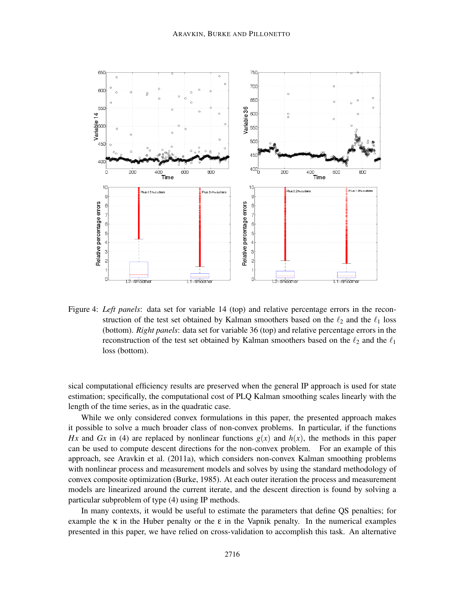

Figure 4: *Left panels*: data set for variable 14 (top) and relative percentage errors in the reconstruction of the test set obtained by Kalman smoothers based on the  $\ell_2$  and the  $\ell_1$  loss (bottom). *Right panels*: data set for variable 36 (top) and relative percentage errors in the reconstruction of the test set obtained by Kalman smoothers based on the  $\ell_2$  and the  $\ell_1$ loss (bottom).

sical computational efficiency results are preserved when the general IP approach is used for state estimation; specifically, the computational cost of PLQ Kalman smoothing scales linearly with the length of the time series, as in the quadratic case.

While we only considered convex formulations in this paper, the presented approach makes it possible to solve a much broader class of non-convex problems. In particular, if the functions *Hx* and *Gx* in (4) are replaced by nonlinear functions  $g(x)$  and  $h(x)$ , the methods in this paper can be used to compute descent directions for the non-convex problem. For an example of this approach, see Aravkin et al. (2011a), which considers non-convex Kalman smoothing problems with nonlinear process and measurement models and solves by using the standard methodology of convex composite optimization (Burke, 1985). At each outer iteration the process and measurement models are linearized around the current iterate, and the descent direction is found by solving a particular subproblem of type (4) using IP methods.

In many contexts, it would be useful to estimate the parameters that define QS penalties; for example the  $\kappa$  in the Huber penalty or the  $\epsilon$  in the Vapnik penalty. In the numerical examples presented in this paper, we have relied on cross-validation to accomplish this task. An alternative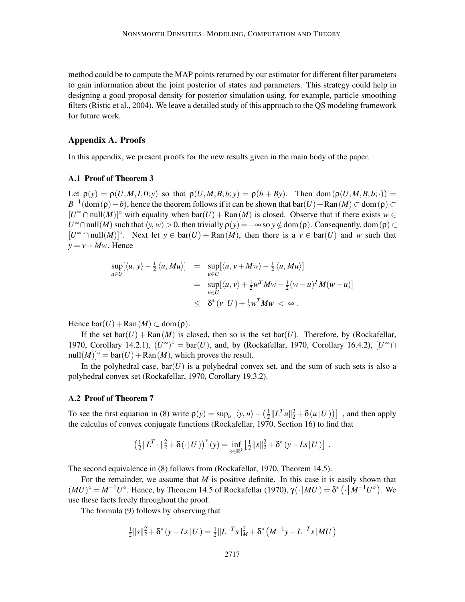method could be to compute the MAP points returned by our estimator for different filter parameters to gain information about the joint posterior of states and parameters. This strategy could help in designing a good proposal density for posterior simulation using, for example, particle smoothing filters (Ristic et al., 2004). We leave a detailed study of this approach to the QS modeling framework for future work.

### Appendix A. Proofs

In this appendix, we present proofs for the new results given in the main body of the paper.

#### A.1 Proof of Theorem 3

Let  $\rho(y) = \rho(U, M, I, 0; y)$  so that  $\rho(U, M, B, b; y) = \rho(b + By)$ . Then dom $(\rho(U, M, B, b; \cdot))$  $B^{-1}$ (dom( $\rho$ ) – *b*), hence the theorem follows if it can be shown that bar(*U*) + Ran(*M*) ⊂ dom( $\rho$ ) ⊂  $[U^{\infty} \cap null(M)]^{\circ}$  with equality when  $bar(U) + Ran(M)$  is closed. Observe that if there exists *w* ∈ *U*<sup>∞</sup> ∩null(*M*) such that  $\langle y, w \rangle > 0$ , then trivially  $\rho(y) = +\infty$  so  $y \notin \text{dom}(\rho)$ . Consequently, dom( $\rho$ ) ⊂ [ $U^{\infty}$  ∩ null(*M*)]<sup>°</sup>. Next let *y* ∈ bar(*U*) + Ran(*M*), then there is a *v* ∈ bar(*U*) and *w* such that  $y = v + Mw$ . Hence

$$
\sup_{u \in U} [\langle u, y \rangle - \frac{1}{2} \langle u, Mu \rangle] = \sup_{u \in U} [\langle u, v + Mw \rangle - \frac{1}{2} \langle u, Mu \rangle] \n= \sup_{u \in U} [\langle u, v \rangle + \frac{1}{2} w^T M w - \frac{1}{2} (w - u)^T M (w - u)] \n\le \delta^* (v | U) + \frac{1}{2} w^T M w < \infty.
$$

Hence  $bar(U) + Ran(M) \subset dom(p)$ .

If the set  $bar(U) + Ran(M)$  is closed, then so is the set  $bar(U)$ . Therefore, by (Rockafellar, 1970, Corollary 14.2.1),  $(U^{\infty})^{\circ} = \text{bar}(U)$ , and, by (Rockafellar, 1970, Corollary 16.4.2),  $[U^{\infty} \cap$  $null(M)]° = bar(U) + Ran(M)$ , which proves the result.

In the polyhedral case,  $bar(U)$  is a polyhedral convex set, and the sum of such sets is also a polyhedral convex set (Rockafellar, 1970, Corollary 19.3.2).

#### A.2 Proof of Theorem 7

To see the first equation in (8) write  $\rho(y) = \sup_u [ \langle y, u \rangle - (\frac{1}{2} ||L^T u||_2^2 + \delta(u||U)) ]$ , and then apply the calculus of convex conjugate functions (Rockafellar, 1970, Section 16) to find that

$$
\left(\frac{1}{2}\|L^T\cdot\|_2^2+\delta(\cdot|U)\right)^*(y)=\inf_{s\in\mathbb{R}^k}\left[\frac{1}{2}\|s\|_2^2+\delta^*(y-Ls|U)\right].
$$

The second equivalence in (8) follows from (Rockafellar, 1970, Theorem 14.5).

For the remainder, we assume that *M* is positive definite. In this case it is easily shown that  $(MU)^\circ = M^{-1}U^\circ$ . Hence, by Theorem 14.5 of Rockafellar (1970),  $\gamma(\cdot | MU) = \delta^* (\cdot | M^{-1}U^\circ)$ . We use these facts freely throughout the proof.

The formula (9) follows by observing that

$$
\frac{1}{2}||s||_2^2 + \delta^*(y - Ls|U) = \frac{1}{2}||L^{-T}s||_M^2 + \delta^*\left(M^{-1}y - L^{-T}s|MU\right)
$$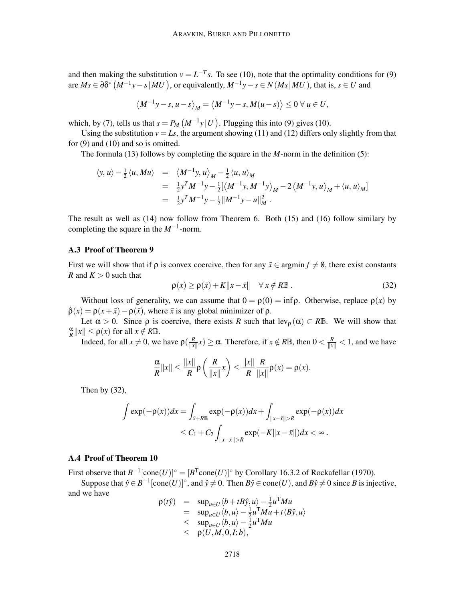and then making the substitution  $v = L^{-T} s$ . To see (10), note that the optimality conditions for (9) are  $Ms \in \partial \delta^* (M^{-1}y - s | MU)$ , or equivalently,  $M^{-1}y - s \in N(Ms | MU)$ , that is,  $s \in U$  and

$$
\left\langle M^{-1}y - s, u - s \right\rangle_M = \left\langle M^{-1}y - s, M(u - s) \right\rangle \leq 0 \ \forall \ u \in U,
$$

which, by (7), tells us that  $s = P_M(M^{-1}y|U)$ . Plugging this into (9) gives (10).

Using the substitution  $v = Ls$ , the argument showing (11) and (12) differs only slightly from that for (9) and (10) and so is omitted.

The formula (13) follows by completing the square in the *M*-norm in the definition (5):

$$
\langle y, u \rangle - \frac{1}{2} \langle u, Mu \rangle = \langle M^{-1}y, u \rangle_M - \frac{1}{2} \langle u, u \rangle_M
$$
  
=  $\frac{1}{2} y^T M^{-1} y - \frac{1}{2} [\langle M^{-1}y, M^{-1}y \rangle_M - 2 \langle M^{-1}y, u \rangle_M + \langle u, u \rangle_M]$   
=  $\frac{1}{2} y^T M^{-1} y - \frac{1}{2} ||M^{-1}y - u||_M^2$ .

The result as well as (14) now follow from Theorem 6. Both (15) and (16) follow similary by completing the square in the *M*−<sup>1</sup> -norm.

#### A.3 Proof of Theorem 9

First we will show that if  $\rho$  is convex coercive, then for any  $\bar{x} \in \text{argmin } f \neq \emptyset$ , there exist constants *R* and  $K > 0$  such that

$$
\rho(x) \ge \rho(\bar{x}) + K||x - \bar{x}|| \quad \forall \, x \notin R\mathbb{B} \,. \tag{32}
$$

Without loss of generality, we can assume that  $0 = \rho(0) = \inf \rho$ . Otherwise, replace  $\rho(x)$  by  $\hat{\rho}(x) = \rho(x + \bar{x}) - \rho(\bar{x})$ , where  $\bar{x}$  is any global minimizer of  $\rho$ .

Let  $\alpha > 0$ . Since  $\rho$  is coercive, there exists *R* such that lev<sub> $\rho$ </sub> ( $\alpha$ )  $\subset$  *R*B. We will show that α  $\frac{\alpha}{R}$ ||x||  $\leq \rho(x)$  for all  $x \notin R\mathbb{B}$ .

Indeed, for all  $x \neq 0$ , we have  $\rho(\frac{R}{\|x\|})$  $\frac{R}{\|x\|}x$ )  $\ge \alpha$ . Therefore, if  $x \notin R\mathbb{B}$ , then  $0 < \frac{R}{\|x\|} < 1$ , and we have

$$
\frac{\alpha}{R}||x|| \leq \frac{||x||}{R} \rho\left(\frac{R}{||x||}x\right) \leq \frac{||x||}{R} \frac{R}{||x||} \rho(x) = \rho(x).
$$

Then by  $(32)$ ,

$$
\int \exp(-\rho(x))dx = \int_{\bar{x}+R\mathbb{B}} \exp(-\rho(x))dx + \int_{\|x-\bar{x}\|>R} \exp(-\rho(x))dx
$$
  

$$
\leq C_1 + C_2 \int_{\|x-\bar{x}\|>R} \exp(-K\|x-\bar{x}\|)dx < \infty.
$$

# A.4 Proof of Theorem 10

First observe that  $B^{-1}[\text{cone}(U)]^{\circ} = [B^{T} \text{cone}(U)]^{\circ}$  by Corollary 16.3.2 of Rockafellar (1970).

Suppose that  $\hat{y} \in B^{-1}[\text{cone}(U)]^{\circ}$ , and  $\hat{y} \neq 0$ . Then  $B\hat{y} \in \text{cone}(U)$ , and  $B\hat{y} \neq 0$  since *B* is injective, and we have

$$
\rho(t\hat{y}) = \sup_{u \in U} \langle b + tB\hat{y}, u \rangle - \frac{1}{2}u^T M u \n= \sup_{u \in U} \langle b, u \rangle - \frac{1}{2}u^T M u + t \langle B\hat{y}, u \rangle \n\leq \sup_{u \in U} \langle b, u \rangle - \frac{1}{2}u^T M u \n\leq \rho(U, M, 0, I; b),
$$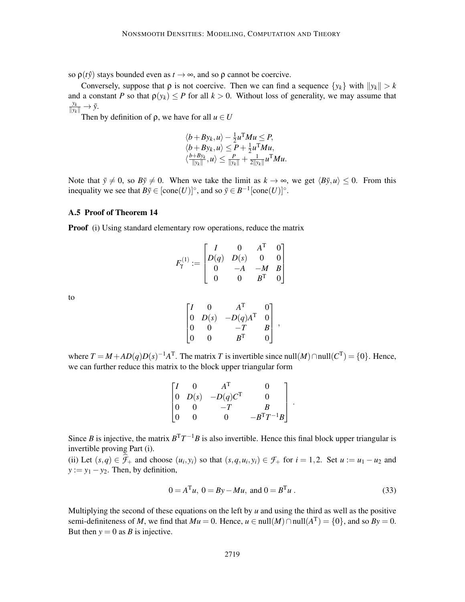so  $\rho(t\hat{y})$  stays bounded even as  $t \to \infty$ , and so  $\rho$  cannot be coercive.

Conversely, suppose that  $\rho$  is not coercive. Then we can find a sequence  $\{y_k\}$  with  $\|y_k\| > k$ and a constant *P* so that  $\rho(y_k) \leq P$  for all  $k > 0$ . Without loss of generality, we may assume that  $\frac{y_k}{\|y_k\|} \to \bar{y}.$ 

Then by definition of  $\rho$ , we have for all  $u \in U$ 

$$
\langle b + By_k, u \rangle - \frac{1}{2}u^{\mathrm{T}}Mu \le P, \langle b + By_k, u \rangle \le P + \frac{1}{2}u^{\mathrm{T}}Mu, \langle \frac{b + By_k}{\|y_k\|}, u \rangle \le \frac{P}{\|y_k\|} + \frac{1}{2\|y_k\|}u^{\mathrm{T}}Mu.
$$

Note that  $\bar{y} \neq 0$ , so  $B\bar{y} \neq 0$ . When we take the limit as  $k \to \infty$ , we get  $\langle B\bar{y}, u \rangle < 0$ . From this inequality we see that  $B\bar{y} \in [\text{cone}(U)]^{\circ}$ , and so  $\bar{y} \in B^{-1}[\text{cone}(U)]^{\circ}$ .

#### A.5 Proof of Theorem 14

**Proof** (i) Using standard elementary row operations, reduce the matrix

$$
F_\gamma^{(1)} := \begin{bmatrix} I & 0 & A^\mathrm{T} & 0 \\ D(q) & D(s) & 0 & 0 \\ 0 & -A & -M & B \\ 0 & 0 & B^\mathrm{T} & 0 \end{bmatrix}
$$

to

$$
\begin{bmatrix} I & 0 & A^{\mathrm{T}} & 0 \\ 0 & D(s) & -D(q)A^{\mathrm{T}} & 0 \\ 0 & 0 & -T & B \\ 0 & 0 & B^{\mathrm{T}} & 0 \end{bmatrix},
$$

where  $T = M + AD(q)D(s)^{-1}A^{T}$ . The matrix *T* is invertible since null(*M*) ∩null( $C^{T}$ ) = {0}. Hence, we can further reduce this matrix to the block upper triangular form

|                                                            | $\mathbf{A}^{\mathrm{T}}$ | 0                 |
|------------------------------------------------------------|---------------------------|-------------------|
| $\begin{bmatrix} 0 & D(s) \\ 0 & 0 \\ 0 & 0 \end{bmatrix}$ | $-D(q)C^{\mathrm{T}}$     | $\mathbf{\Omega}$ |
|                                                            | $-T$                      | B                 |
|                                                            | $^{\circ}$                | $-B^{T}T^{-1}B$   |

Since *B* is injective, the matrix  $B<sup>T</sup>T<sup>-1</sup>B$  is also invertible. Hence this final block upper triangular is invertible proving Part (i).

(ii) Let  $(s,q) \in \hat{\mathcal{F}}_+$  and choose  $(u_i, y_i)$  so that  $(s,q, u_i, y_i) \in \mathcal{F}_+$  for  $i = 1,2$ . Set  $u := u_1 - u_2$  and  $y := y_1 - y_2$ . Then, by definition,

$$
0 = ATu, 0 = By - Mu, and 0 = BTu.
$$
 (33)

.

Multiplying the second of these equations on the left by  $u$  and using the third as well as the positive semi-definiteness of *M*, we find that  $Mu = 0$ . Hence,  $u \in null(M) \cap null(A^T) = \{0\}$ , and so  $By = 0$ . But then  $y = 0$  as *B* is injective.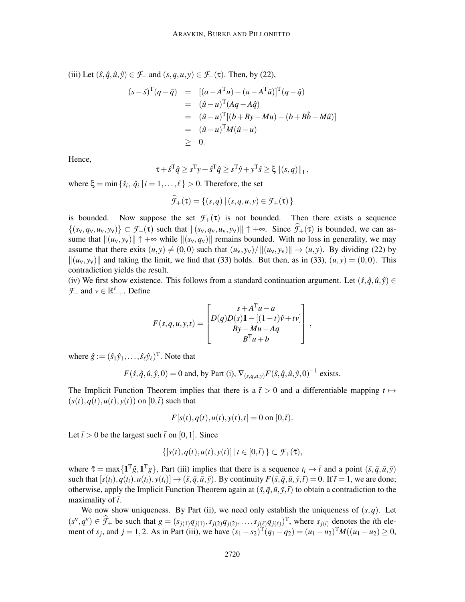(iii) Let  $(\hat{s}, \hat{q}, \hat{u}, \hat{y}) \in \mathcal{F}_+$  and  $(s, q, u, y) \in \mathcal{F}_+(\tau)$ . Then, by (22),

$$
(s - \hat{s})^{\mathrm{T}}(q - \hat{q}) = [(a - A^{\mathrm{T}}u) - (a - A^{\mathrm{T}}\hat{u})]^{\mathrm{T}}(q - \hat{q})
$$
  
\n
$$
= (\hat{u} - u)^{\mathrm{T}}(Aq - A\hat{q})
$$
  
\n
$$
= (\hat{u} - u)^{\mathrm{T}}[(b + By - Mu) - (b + B\hat{b} - M\hat{u})]
$$
  
\n
$$
= (\hat{u} - u)^{\mathrm{T}}M(\hat{u} - u)
$$
  
\n
$$
\geq 0.
$$

Hence,

$$
\tau + \hat{s}^{\mathrm{T}}\hat{q} \ge \hat{s}^{\mathrm{T}}\mathbf{y} + \hat{s}^{\mathrm{T}}\hat{q} \ge \hat{s}^{\mathrm{T}}\hat{\mathbf{y}} + \mathbf{y}^{\mathrm{T}}\hat{s} \ge \xi ||(s, q)||_1,
$$

where  $\xi = \min \{\hat{s}_i, \hat{q}_i \mid i = 1, \dots, \ell\} > 0$ . Therefore, the set

$$
\widehat{\mathcal{F}}_{+}(\tau) = \{(s,q) \mid (s,q,u,y) \in \mathcal{F}_{+}(\tau)\}
$$

is bounded. Now suppose the set  $\mathcal{F}_+(\tau)$  is not bounded. Then there exists a sequence  $\{(s_v, q_v, u_v, y_v)\}\subset \mathcal{F}_+(\tau)$  such that  $\|(s_v, q_v, u_v, y_v)\| \uparrow +\infty$ . Since  $\hat{\mathcal{F}}_+(\tau)$  is bounded, we can assume that  $\|(u_v, y_v)\| \uparrow +\infty$  while  $\|(s_v, q_v)\|$  remains bounded. With no loss in generality, we may assume that there exits  $(u, y) \neq (0,0)$  such that  $(u_v, y_v) / ||(u_v, y_v)|| \rightarrow (u, y)$ . By dividing (22) by  $\|(u_v, y_v)\|$  and taking the limit, we find that (33) holds. But then, as in (33),  $(u, y) = (0, 0)$ . This contradiction yields the result.

(iv) We first show existence. This follows from a standard continuation argument. Let  $(\hat{s}, \hat{q}, \hat{u}, \hat{y}) \in$  $\mathcal{F}_+$  and  $v \in \mathbb{R}^{\ell}_{++}$ . Define

$$
F(s,q,u,y,t) = \begin{bmatrix} s+A^{\mathrm{T}}u-a \\ D(q)D(s)\mathbf{1} - [(1-t)\hat{v}+tv] \\ By-Mu-Aq \\ B^{\mathrm{T}}u+b \end{bmatrix},
$$

where  $\hat{g} := (\hat{s}_1 \hat{y}_1, \dots, \hat{s}_\ell \hat{y}_\ell)^T$ . Note that

$$
F(\hat{s}, \hat{q}, \hat{u}, \hat{y}, 0) = 0
$$
 and, by Part (i),  $\nabla_{(s, q, u, y)} F(\hat{s}, \hat{q}, \hat{u}, \hat{y}, 0)^{-1}$  exists.

The Implicit Function Theorem implies that there is a  $\tilde{t} > 0$  and a differentiable mapping  $t \mapsto$  $(s(t), q(t), u(t), y(t))$  on  $[0, \tilde{t})$  such that

$$
F[s(t), q(t), u(t), y(t), t] = 0
$$
 on [0,  $\tilde{t}$ ).

Let  $\bar{t} > 0$  be the largest such  $\tilde{t}$  on [0, 1]. Since

$$
\{[s(t), q(t), u(t), y(t)] \mid t \in [0, \bar{t})\} \subset \mathcal{F}_+(\bar{\tau}),
$$

where  $\bar{\tau} = \max\{\mathbf{1}^T\hat{g}, \mathbf{1}^Tg\}$ , Part (iii) implies that there is a sequence  $t_i \to \bar{t}$  and a point  $(\bar{s}, \bar{q}, \bar{u}, \bar{y})$ such that  $[s(t_i), q(t_i), u(t_i), y(t_i)] \rightarrow (\bar{s}, \bar{q}, \bar{u}, \bar{y})$ . By continuity  $F(\bar{s}, \bar{q}, \bar{u}, \bar{y}, \bar{t}) = 0$ . If  $\bar{t} = 1$ , we are done; otherwise, apply the Implicit Function Theorem again at  $(\bar{s}, \bar{q}, \bar{u}, \bar{y}, \bar{t})$  to obtain a contradiction to the maximality of  $\bar{t}$ .

We now show uniqueness. By Part (ii), we need only establish the uniqueness of  $(s, q)$ . Let  $(s^{\vee}, q^{\vee}) \in \widehat{\mathcal{F}}_+$  be such that  $g = (s_{j(1)}q_{j(1)}, s_{j(2)}q_{j(2)}, \ldots, s_{j(\ell)}q_{j(\ell)})^{\mathrm{T}}$ , where  $s_{j(i)}$  denotes the *i*th element of *s<sub>j</sub>*, and  $j = 1, 2$ . As in Part (iii), we have  $(s_1 - s_2)^T (q_1 - q_2) = (u_1 - u_2)^T M ((u_1 - u_2) \ge 0$ ,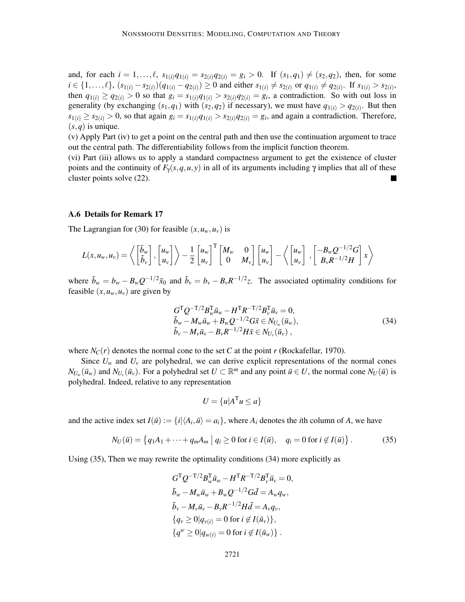and, for each  $i = 1, ..., \ell$ ,  $s_{1(i)}q_{1(i)} = s_{2(i)}q_{2(i)} = g_i > 0$ . If  $(s_1, q_1) \neq (s_2, q_2)$ , then, for some  $i \in \{1,\ldots,\ell\}, (s_{1(i)} - s_{2(i)})(q_{1(i)} - q_{2(i)}) \ge 0$  and either  $s_{1(i)} \neq s_{2(i)}$  or  $q_{1(i)} \neq q_{2(i)}$ . If  $s_{1(i)} > s_{2(i)}$ , then  $q_{1(i)} \geq q_{2(i)} > 0$  so that  $g_i = s_{1(i)}q_{1(i)} > s_{2(i)}q_{2(i)} = g_i$ , a contradiction. So with out loss in generality (by exchanging  $(s_1, q_1)$  with  $(s_2, q_2)$  if necessary), we must have  $q_{1(i)} > q_{2(i)}$ . But then  $s_{1(i)} \ge s_{2(i)} > 0$ , so that again  $g_i = s_{1(i)}q_{1(i)} > s_{2(i)}q_{2(i)} = g_i$ , and again a contradiction. Therefore,  $(s, q)$  is unique.

(v) Apply Part (iv) to get a point on the central path and then use the continuation argument to trace out the central path. The differentiability follows from the implicit function theorem.

(vi) Part (iii) allows us to apply a standard compactness argument to get the existence of cluster points and the continuity of  $F_y(s,q,u,y)$  in all of its arguments including  $\gamma$  implies that all of these cluster points solve (22).

#### A.6 Details for Remark 17

The Lagrangian for (30) for feasible  $(x, u_w, u_v)$  is

$$
L(x, u_w, u_v) = \left\langle \begin{bmatrix} \tilde{b}_w \\ \tilde{b}_v \end{bmatrix}, \begin{bmatrix} u_w \\ u_v \end{bmatrix} \right\rangle - \frac{1}{2} \begin{bmatrix} u_w \\ u_v \end{bmatrix}^{\mathrm{T}} \begin{bmatrix} M_w & 0 \\ 0 & M_v \end{bmatrix} \begin{bmatrix} u_w \\ u_v \end{bmatrix} - \left\langle \begin{bmatrix} u_w \\ u_v \end{bmatrix}, \begin{bmatrix} -B_w Q^{-1/2} G \\ B_v R^{-1/2} H \end{bmatrix} x \right\rangle
$$

where  $\tilde{b}_w = b_w - B_w Q^{-1/2} \tilde{x}_0$  and  $\tilde{b}_v = b_v - B_v R^{-1/2} z$ . The associated optimality conditions for feasible  $(x, u_w, u_v)$  are given by

$$
G^{T} Q^{-T/2} B_{w}^{T} \bar{u}_{w} - H^{T} R^{-T/2} B_{v}^{T} \bar{u}_{v} = 0,
$$
  
\n
$$
\tilde{b}_{w} - M_{w} \bar{u}_{w} + B_{w} Q^{-1/2} G \bar{x} \in N_{U_{w}} (\bar{u}_{w}),
$$
  
\n
$$
\tilde{b}_{v} - M_{v} \bar{u}_{v} - B_{v} R^{-1/2} H \bar{x} \in N_{U_{v}} (\bar{u}_{v}),
$$
\n(34)

where  $N_C(r)$  denotes the normal cone to the set *C* at the point *r* (Rockafellar, 1970).

Since  $U_w$  and  $U_v$  are polyhedral, we can derive explicit representations of the normal cones  $N_{U_w}(\bar{u}_w)$  and  $N_{U_v}(\bar{u}_v)$ . For a polyhedral set  $U \subset \mathbb{R}^m$  and any point  $\bar{u} \in U$ , the normal cone  $N_U(\bar{u})$  is polyhedral. Indeed, relative to any representation

$$
U = \{u | A^{\mathrm{T}} u \le a\}
$$

and the active index set  $I(\bar{u}) := \{i | \langle A_i, \bar{u} \rangle = a_i\}$ , where  $A_i$  denotes the *i*th column of *A*, we have

$$
N_U(\bar{u}) = \{q_1 A_1 + \dots + q_m A_m \mid q_i \ge 0 \text{ for } i \in I(\bar{u}), \quad q_i = 0 \text{ for } i \notin I(\bar{u})\}.
$$
 (35)

Using (35), Then we may rewrite the optimality conditions (34) more explicitly as

$$
G^{T}Q^{-T/2}B_{w}^{T}\bar{u}_{w} - H^{T}R^{-T/2}B_{v}^{T}\bar{u}_{v} = 0,
$$
  
\n
$$
\tilde{b}_{w} - M_{w}\bar{u}_{w} + B_{w}Q^{-1/2}G\bar{d} = A_{w}q_{w},
$$
  
\n
$$
\tilde{b}_{v} - M_{v}\bar{u}_{v} - B_{v}R^{-1/2}H\bar{d} = A_{v}q_{v},
$$
  
\n
$$
\{q_{v} \ge 0 | q_{v(i)} = 0 \text{ for } i \notin I(\bar{u}_{v})\},
$$
  
\n
$$
\{q^{w} \ge 0 | q_{w(i)} = 0 \text{ for } i \notin I(\bar{u}_{w})\}.
$$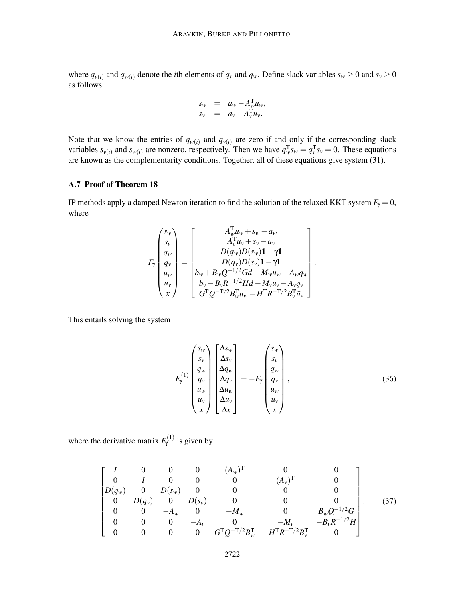where  $q_{v(i)}$  and  $q_{w(i)}$  denote the *i*th elements of  $q_v$  and  $q_w$ . Define slack variables  $s_w \ge 0$  and  $s_v \ge 0$ as follows:

$$
s_w = a_w - A_w^{\mathrm{T}} u_w,
$$
  
\n
$$
s_v = a_v - A_v^{\mathrm{T}} u_v.
$$

Note that we know the entries of  $q_{w(i)}$  and  $q_{v(i)}$  are zero if and only if the corresponding slack variables  $s_{v(i)}$  and  $s_{w(i)}$  are nonzero, respectively. Then we have  $q_w^T s_w = q_v^T s_v = 0$ . These equations are known as the complementarity conditions. Together, all of these equations give system (31).

# A.7 Proof of Theorem 18

IP methods apply a damped Newton iteration to find the solution of the relaxed KKT system  $F_\gamma = 0$ , where

$$
F_{\gamma} \begin{pmatrix} s_w \\ s_v \\ q_w \\ q_w \\ u_w \\ u_v \end{pmatrix} = \begin{bmatrix} A_w^{\mathrm{T}} u_w + s_w - a_w \\ A_v^{\mathrm{T}} u_v + s_v - a_v \\ D(q_w)D(s_w) \mathbf{1} - \gamma \mathbf{1} \\ D(q_v)D(s_v) \mathbf{1} - \gamma \mathbf{1} \\ D(q_v)D(s_v) \mathbf{1} - \gamma \mathbf{1} \\ b_w + B_w Q^{-1/2} G d - M_w u_w - A_w q_w \\ \tilde{b}_v - B_v R^{-1/2} H d - M_v u_v - A_v q_v \\ G^{\mathrm{T}} Q^{-\mathrm{T}} / 2 B_w^{\mathrm{T}} u_w - H^{\mathrm{T}} R^{-\mathrm{T}} / 2 B_v^{\mathrm{T}} \bar{u}_v \end{bmatrix}
$$

This entails solving the system

$$
F_{\gamma}^{(1)}\begin{pmatrix} s_{w} \\ s_{v} \\ q_{w} \\ q_{v} \\ u_{w} \\ u_{v} \\ x \end{pmatrix} \begin{bmatrix} \Delta s_{w} \\ \Delta s_{v} \\ \Delta q_{w} \\ \Delta q_{v} \\ \Delta u_{w} \\ \Delta u_{v} \\ \Delta u_{v} \\ \Delta x \end{bmatrix} = -F_{\gamma} \begin{pmatrix} s_{w} \\ s_{v} \\ q_{w} \\ q_{v} \\ u_{w} \\ u_{w} \\ u_{v} \\ x \end{pmatrix}, \qquad (36)
$$

.

where the derivative matrix  $F_{\gamma}^{(1)}$  is given by

$$
\begin{bmatrix}\nI & 0 & 0 & 0 & (A_w)^T & 0 & 0 \\
0 & I & 0 & 0 & 0 & (A_v)^T & 0 \\
D(q_w) & 0 & D(s_w) & 0 & 0 & 0 & 0 \\
0 & D(q_v) & 0 & D(s_v) & 0 & 0 & 0 \\
0 & 0 & -A_w & 0 & -M_w & 0 & B_w Q^{-1/2} G \\
0 & 0 & 0 & -A_v & 0 & -M_v & -B_v R^{-1/2} H \\
0 & 0 & 0 & 0 & G^T Q^{-T/2} B_w^T & -H^T R^{-T/2} B_v^T & 0\n\end{bmatrix}.
$$
\n(37)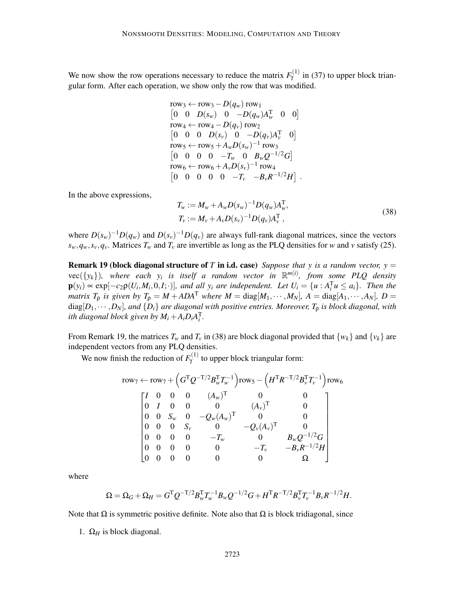We now show the row operations necessary to reduce the matrix  $F_{\gamma}^{(1)}$  in (37) to upper block triangular form. After each operation, we show only the row that was modified.

row<sub>3</sub> 
$$
\leftarrow
$$
 row<sub>3</sub>  $\leftarrow$   $D(q_w)$  row<sub>1</sub>  
\n $\begin{bmatrix} 0 & 0 & D(s_w) & 0 & -D(q_w)A_w^T & 0 & 0 \end{bmatrix}$   
\nrow<sub>4</sub>  $\leftarrow$  row<sub>4</sub>  $\leftarrow$   $D(q_v)$  row<sub>2</sub>  
\n $\begin{bmatrix} 0 & 0 & 0 & D(s_v) & 0 & -D(q_v)A_v^T & 0 \end{bmatrix}$   
\nrow<sub>5</sub>  $\leftarrow$  row<sub>5</sub>  $\leftarrow$   $A_w D(s_w)^{-1}$  row<sub>3</sub>  
\n $\begin{bmatrix} 0 & 0 & 0 & 0 & -T_w & 0 & B_w Q^{-1/2}G \end{bmatrix}$   
\nrow<sub>6</sub>  $\leftarrow$  row<sub>6</sub>  $\leftarrow$   $A_v D(s_v)^{-1}$  row<sub>4</sub>  
\n $\begin{bmatrix} 0 & 0 & 0 & 0 & 0 & -T_v & -B_v R^{-1/2}H \end{bmatrix}$ .

In the above expressions,

$$
T_w := M_w + A_w D(s_w)^{-1} D(q_w) A_w^{\mathrm{T}},
$$
  
\n
$$
T_v := M_v + A_v D(s_v)^{-1} D(q_v) A_v^{\mathrm{T}},
$$
\n(38)

where  $D(s_w)^{-1}D(q_w)$  and  $D(s_v)^{-1}D(q_v)$  are always full-rank diagonal matrices, since the vectors  $s_w, q_w, s_v, q_v$ . Matrices  $T_w$  and  $T_v$  are invertible as long as the PLQ densities for *w* and *v* satisfy (25).

**Remark 19 (block diagonal structure of** *T* **in i.d. case)** *Suppose that y is a random vector,*  $y =$  $vec(\{y_k\})$ , where each  $y_i$  is itself a random vector in  $\mathbb{R}^{m(i)}$ , from some PLQ density  $\mathbf{p}(y_i) \propto \exp[-c_2 \rho(U_i, M_i, 0, I; \cdot)],$  and all  $y_i$  are independent. Let  $U_i = \{u : A_i^T u \leq a_i\}.$  Then the *matrix*  $T_p$  *is given by*  $T_p = M + ADA^T$  *where*  $M = \text{diag}[M_1, \cdots, M_N]$ ,  $A = \text{diag}[A_1, \cdots, A_N]$ ,  $D =$  $diag[D_1, \cdots, D_N]$ , and  $\{D_i\}$  are diagonal with positive entries. Moreover,  $T_0$  is block diagonal, with *ith diagonal block given by*  $M_i + A_i D_i A_i^{\mathrm{T}}$ .

From Remark 19, the matrices  $T_w$  and  $T_v$  in (38) are block diagonal provided that  $\{w_k\}$  and  $\{v_k\}$  are independent vectors from any PLQ densities.

We now finish the reduction of  $F_{\gamma}^{(1)}$  to upper block triangular form:

row<sub>7</sub> 
$$
\leftarrow
$$
 row<sub>7</sub> +  $\left(G^{T}Q^{-T/2}B_{w}^{T}T_{w}^{-1}\right)$ row<sub>5</sub> -  $\left(H^{T}R^{-T/2}B_{v}^{T}T_{v}^{-1}\right)$ row<sub>6</sub>  
\n $\begin{bmatrix}\nI & 0 & 0 & 0 & (A_{w})^{T} & 0 & 0 \\
0 & I & 0 & 0 & 0 & (A_{v})^{T} & 0 \\
0 & 0 & S_{w} & 0 & -Q_{w}(A_{w})^{T} & 0 & 0 \\
0 & 0 & 0 & S_{v} & 0 & -Q_{v}(A_{v})^{T} & 0 \\
0 & 0 & 0 & 0 & -T_{w} & 0 & B_{w}Q^{-1/2}G \\
0 & 0 & 0 & 0 & 0 & -T_{v} & -B_{v}R^{-1/2}H \\
0 & 0 & 0 & 0 & 0 & 0 & \Omega\n\end{bmatrix}$ 

where

$$
\Omega = \Omega_G + \Omega_H = G^T Q^{-T/2} B_w^T T_w^{-1} B_w Q^{-1/2} G + H^T R^{-T/2} B_v^T T_v^{-1} B_v R^{-1/2} H.
$$

Note that  $\Omega$  is symmetric positive definite. Note also that  $\Omega$  is block tridiagonal, since

1.  $\Omega_H$  is block diagonal.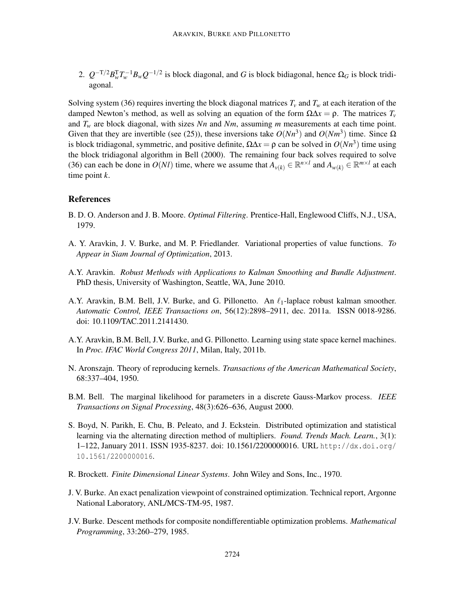2.  $Q^{-T/2}B_W^TT_w^{-1}B_wQ^{-1/2}$  is block diagonal, and *G* is block bidiagonal, hence  $\Omega_G$  is block tridiagonal.

Solving system (36) requires inverting the block diagonal matrices  $T_v$  and  $T_w$  at each iteration of the damped Newton's method, as well as solving an equation of the form  $\Omega \Delta x = \rho$ . The matrices  $T_v$ and  $T_w$  are block diagonal, with sizes *Nn* and *Nm*, assuming *m* measurements at each time point. Given that they are invertible (see (25)), these inversions take  $O(Nn^3)$  and  $O(Nm^3)$  time. Since  $\Omega$ is block tridiagonal, symmetric, and positive definite,  $\Omega \Delta x = \rho$  can be solved in  $O(Nn^3)$  time using the block tridiagonal algorithm in Bell (2000). The remaining four back solves required to solve (36) can each be done in  $O(Nl)$  time, where we assume that  $A_{\nu(k)} \in \mathbb{R}^{n \times l}$  and  $A_{\nu(k)} \in \mathbb{R}^{m \times l}$  at each time point *k*.

# **References**

- B. D. O. Anderson and J. B. Moore. *Optimal Filtering*. Prentice-Hall, Englewood Cliffs, N.J., USA, 1979.
- A. Y. Aravkin, J. V. Burke, and M. P. Friedlander. Variational properties of value functions. *To Appear in Siam Journal of Optimization*, 2013.
- A.Y. Aravkin. *Robust Methods with Applications to Kalman Smoothing and Bundle Adjustment*. PhD thesis, University of Washington, Seattle, WA, June 2010.
- A.Y. Aravkin, B.M. Bell, J.V. Burke, and G. Pillonetto. An  $\ell_1$ -laplace robust kalman smoother. *Automatic Control, IEEE Transactions on*, 56(12):2898–2911, dec. 2011a. ISSN 0018-9286. doi: 10.1109/TAC.2011.2141430.
- A.Y. Aravkin, B.M. Bell, J.V. Burke, and G. Pillonetto. Learning using state space kernel machines. In *Proc. IFAC World Congress 2011*, Milan, Italy, 2011b.
- N. Aronszajn. Theory of reproducing kernels. *Transactions of the American Mathematical Society*, 68:337–404, 1950.
- B.M. Bell. The marginal likelihood for parameters in a discrete Gauss-Markov process. *IEEE Transactions on Signal Processing*, 48(3):626–636, August 2000.
- S. Boyd, N. Parikh, E. Chu, B. Peleato, and J. Eckstein. Distributed optimization and statistical learning via the alternating direction method of multipliers. *Found. Trends Mach. Learn.*, 3(1): 1–122, January 2011. ISSN 1935-8237. doi: 10.1561/2200000016. URL http://dx.doi.org/ 10.1561/2200000016.
- R. Brockett. *Finite Dimensional Linear Systems*. John Wiley and Sons, Inc., 1970.
- J. V. Burke. An exact penalization viewpoint of constrained optimization. Technical report, Argonne National Laboratory, ANL/MCS-TM-95, 1987.
- J.V. Burke. Descent methods for composite nondifferentiable optimization problems. *Mathematical Programming*, 33:260–279, 1985.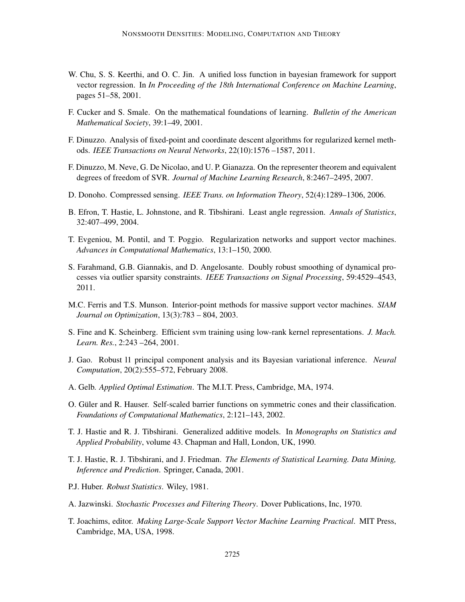- W. Chu, S. S. Keerthi, and O. C. Jin. A unified loss function in bayesian framework for support vector regression. In *In Proceeding of the 18th International Conference on Machine Learning*, pages 51–58, 2001.
- F. Cucker and S. Smale. On the mathematical foundations of learning. *Bulletin of the American Mathematical Society*, 39:1–49, 2001.
- F. Dinuzzo. Analysis of fixed-point and coordinate descent algorithms for regularized kernel methods. *IEEE Transactions on Neural Networks*, 22(10):1576 –1587, 2011.
- F. Dinuzzo, M. Neve, G. De Nicolao, and U. P. Gianazza. On the representer theorem and equivalent degrees of freedom of SVR. *Journal of Machine Learning Research*, 8:2467–2495, 2007.
- D. Donoho. Compressed sensing. *IEEE Trans. on Information Theory*, 52(4):1289–1306, 2006.
- B. Efron, T. Hastie, L. Johnstone, and R. Tibshirani. Least angle regression. *Annals of Statistics*, 32:407–499, 2004.
- T. Evgeniou, M. Pontil, and T. Poggio. Regularization networks and support vector machines. *Advances in Computational Mathematics*, 13:1–150, 2000.
- S. Farahmand, G.B. Giannakis, and D. Angelosante. Doubly robust smoothing of dynamical processes via outlier sparsity constraints. *IEEE Transactions on Signal Processing*, 59:4529–4543, 2011.
- M.C. Ferris and T.S. Munson. Interior-point methods for massive support vector machines. *SIAM Journal on Optimization*, 13(3):783 – 804, 2003.
- S. Fine and K. Scheinberg. Efficient svm training using low-rank kernel representations. *J. Mach. Learn. Res.*, 2:243 –264, 2001.
- J. Gao. Robust l1 principal component analysis and its Bayesian variational inference. *Neural Computation*, 20(2):555–572, February 2008.
- A. Gelb. *Applied Optimal Estimation*. The M.I.T. Press, Cambridge, MA, 1974.
- O. Güler and R. Hauser. Self-scaled barrier functions on symmetric cones and their classification. *Foundations of Computational Mathematics*, 2:121–143, 2002.
- T. J. Hastie and R. J. Tibshirani. Generalized additive models. In *Monographs on Statistics and Applied Probability*, volume 43. Chapman and Hall, London, UK, 1990.
- T. J. Hastie, R. J. Tibshirani, and J. Friedman. *The Elements of Statistical Learning. Data Mining, Inference and Prediction*. Springer, Canada, 2001.
- P.J. Huber. *Robust Statistics*. Wiley, 1981.
- A. Jazwinski. *Stochastic Processes and Filtering Theory*. Dover Publications, Inc, 1970.
- T. Joachims, editor. *Making Large-Scale Support Vector Machine Learning Practical*. MIT Press, Cambridge, MA, USA, 1998.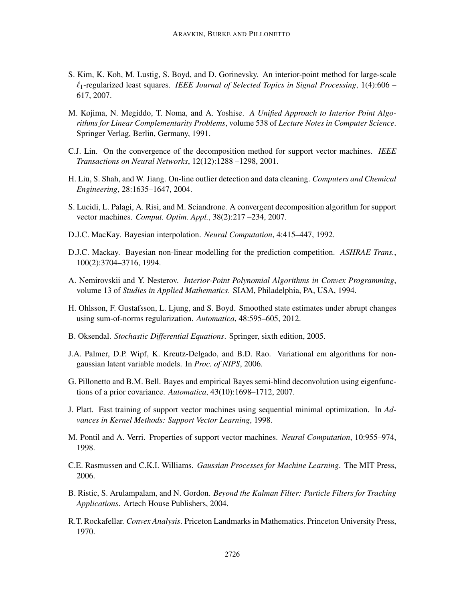- S. Kim, K. Koh, M. Lustig, S. Boyd, and D. Gorinevsky. An interior-point method for large-scale ℓ1-regularized least squares. *IEEE Journal of Selected Topics in Signal Processing*, 1(4):606 – 617, 2007.
- M. Kojima, N. Megiddo, T. Noma, and A. Yoshise. *A Unified Approach to Interior Point Algorithms for Linear Complementarity Problems*, volume 538 of *Lecture Notes in Computer Science*. Springer Verlag, Berlin, Germany, 1991.
- C.J. Lin. On the convergence of the decomposition method for support vector machines. *IEEE Transactions on Neural Networks*, 12(12):1288 –1298, 2001.
- H. Liu, S. Shah, and W. Jiang. On-line outlier detection and data cleaning. *Computers and Chemical Engineering*, 28:1635–1647, 2004.
- S. Lucidi, L. Palagi, A. Risi, and M. Sciandrone. A convergent decomposition algorithm for support vector machines. *Comput. Optim. Appl.*, 38(2):217 –234, 2007.
- D.J.C. MacKay. Bayesian interpolation. *Neural Computation*, 4:415–447, 1992.
- D.J.C. Mackay. Bayesian non-linear modelling for the prediction competition. *ASHRAE Trans.*, 100(2):3704–3716, 1994.
- A. Nemirovskii and Y. Nesterov. *Interior-Point Polynomial Algorithms in Convex Programming*, volume 13 of *Studies in Applied Mathematics*. SIAM, Philadelphia, PA, USA, 1994.
- H. Ohlsson, F. Gustafsson, L. Ljung, and S. Boyd. Smoothed state estimates under abrupt changes using sum-of-norms regularization. *Automatica*, 48:595–605, 2012.
- B. Oksendal. *Stochastic Differential Equations*. Springer, sixth edition, 2005.
- J.A. Palmer, D.P. Wipf, K. Kreutz-Delgado, and B.D. Rao. Variational em algorithms for nongaussian latent variable models. In *Proc. of NIPS*, 2006.
- G. Pillonetto and B.M. Bell. Bayes and empirical Bayes semi-blind deconvolution using eigenfunctions of a prior covariance. *Automatica*, 43(10):1698–1712, 2007.
- J. Platt. Fast training of support vector machines using sequential minimal optimization. In *Advances in Kernel Methods: Support Vector Learning*, 1998.
- M. Pontil and A. Verri. Properties of support vector machines. *Neural Computation*, 10:955–974, 1998.
- C.E. Rasmussen and C.K.I. Williams. *Gaussian Processes for Machine Learning*. The MIT Press, 2006.
- B. Ristic, S. Arulampalam, and N. Gordon. *Beyond the Kalman Filter: Particle Filters for Tracking Applications*. Artech House Publishers, 2004.
- R.T. Rockafellar. *Convex Analysis*. Priceton Landmarks in Mathematics. Princeton University Press, 1970.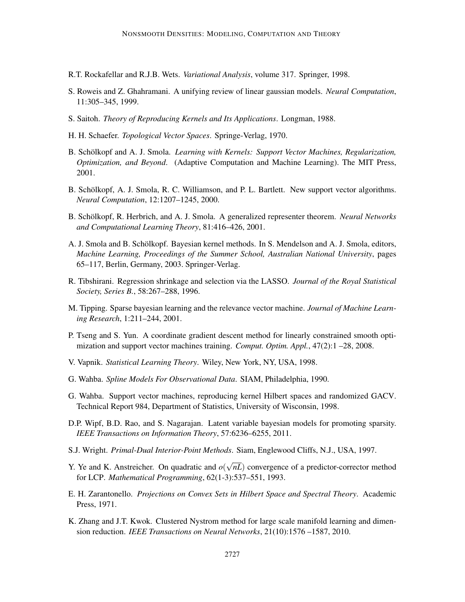- R.T. Rockafellar and R.J.B. Wets. *Variational Analysis*, volume 317. Springer, 1998.
- S. Roweis and Z. Ghahramani. A unifying review of linear gaussian models. *Neural Computation*, 11:305–345, 1999.
- S. Saitoh. *Theory of Reproducing Kernels and Its Applications*. Longman, 1988.
- H. H. Schaefer. *Topological Vector Spaces*. Springe-Verlag, 1970.
- B. Schölkopf and A. J. Smola. *Learning with Kernels: Support Vector Machines, Regularization, Optimization, and Beyond*. (Adaptive Computation and Machine Learning). The MIT Press, 2001.
- B. Schölkopf, A. J. Smola, R. C. Williamson, and P. L. Bartlett. New support vector algorithms. *Neural Computation*, 12:1207–1245, 2000.
- B. Schölkopf, R. Herbrich, and A. J. Smola. A generalized representer theorem. *Neural Networks and Computational Learning Theory*, 81:416–426, 2001.
- A. J. Smola and B. Schölkopf. Bayesian kernel methods. In S. Mendelson and A. J. Smola, editors, *Machine Learning, Proceedings of the Summer School, Australian National University*, pages 65–117, Berlin, Germany, 2003. Springer-Verlag.
- R. Tibshirani. Regression shrinkage and selection via the LASSO. *Journal of the Royal Statistical Society, Series B.*, 58:267–288, 1996.
- M. Tipping. Sparse bayesian learning and the relevance vector machine. *Journal of Machine Learning Research*, 1:211–244, 2001.
- P. Tseng and S. Yun. A coordinate gradient descent method for linearly constrained smooth optimization and support vector machines training. *Comput. Optim. Appl.*, 47(2):1 –28, 2008.
- V. Vapnik. *Statistical Learning Theory*. Wiley, New York, NY, USA, 1998.
- G. Wahba. *Spline Models For Observational Data*. SIAM, Philadelphia, 1990.
- G. Wahba. Support vector machines, reproducing kernel Hilbert spaces and randomized GACV. Technical Report 984, Department of Statistics, University of Wisconsin, 1998.
- D.P. Wipf, B.D. Rao, and S. Nagarajan. Latent variable bayesian models for promoting sparsity. *IEEE Transactions on Information Theory*, 57:6236–6255, 2011.
- S.J. Wright. *Primal-Dual Interior-Point Methods*. Siam, Englewood Cliffs, N.J., USA, 1997.
- Y. Ye and K. Anstreicher. On quadratic and  $o(\sqrt{nL})$  convergence of a predictor-corrector method for LCP. *Mathematical Programming*, 62(1-3):537–551, 1993.
- E. H. Zarantonello. *Projections on Convex Sets in Hilbert Space and Spectral Theory*. Academic Press, 1971.
- K. Zhang and J.T. Kwok. Clustered Nystrom method for large scale manifold learning and dimension reduction. *IEEE Transactions on Neural Networks*, 21(10):1576 –1587, 2010.